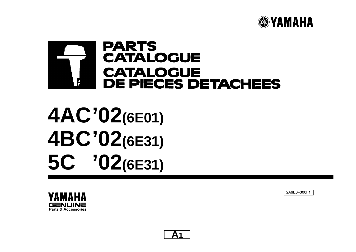

# **PARTS CATALOGUE CATALOGUE DE PIECES DETACHEES**  $\mathbf{F}$

# **4AC'02(6E01) 4BC'02(6E31) 5C '02(6E31)**

2A6E0−300F1



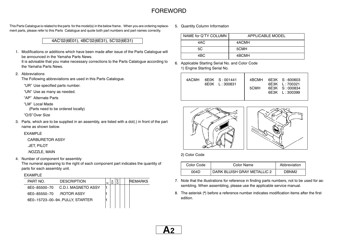## **FOREWORD**

This Parts Catalogue is related to the parts for the model(s) in the below frame. When you are ordering replacement parts, please refer to this Parts Catalogue and quote both part numbers and part names correctly.

## 4AC'02(6E01), 4BC'02(6E31), 5C'02(6E31)

1. Modifications or additions which have been made after issue of the Parts Catalogue will be announced in the Yamaha Parts News.

It is advisable that you make necessary corrections to the Parts Catalogue according to the Yamaha Parts News.

2. Abbreviations

The Following abbreviations are used in this Parts Catalogue.

"UR" Use specified parts number.

"UN" Use as many as needed.

"AP" Alternate Parts

"LM" Local Made

(Parts need to be ordered locally)

"O/S" Over Size

3. Parts, which are to be supplied in an assembly, are listed with <sup>a</sup> dot(.) in front of the part name as shown below.

## EXAMPLE

CARBURETOR ASSY

.JET, PILOT

.NOZZLE, MAIN

4. Number of component for assembly

The numeral appearing to the right of each component part indicates the quantity of parts for each assembly unit.

## EXAMPLE

| PART NO.                | <b>DESCRIPTION</b>            | ш | 冚 |  | <b>IRFMARKS</b> |
|-------------------------|-------------------------------|---|---|--|-----------------|
| 6F0-85500-70            | C.D.I. MAGNETO ASSY           |   |   |  |                 |
| 6F0-85550-70 ROTOR ASSY |                               |   |   |  |                 |
|                         | 6E0-15723-00-94PULLY, STARTER |   |   |  |                 |
|                         |                               |   |   |  |                 |

5. Quantity Column Information

| NAME for Q'TY COLUMN | APPI ICABI E MODEL |
|----------------------|--------------------|
| 4AC                  | 4ACMH              |
| 5C                   | 5CMH               |
| 4BC.                 | 4BCMH              |

6. Applicable Starting Serial No. and Color Code 1) Engine Starting Serial No.



2) Color Code

| Color Code | Color Name                  | Abbreviation |
|------------|-----------------------------|--------------|
| 004D       | DARK BLUISH GRAY METALLIC 2 | DBNM2        |

- 7. Note that the illustrations for reference in finding parts numbers, not to be used for assembling. When assembling, please use the applicable service manual.
- 8. The asterisk (\*) before <sup>a</sup> reference number indicates modification items after the first edition.

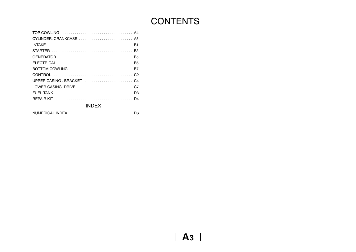# **CONTENTS**

| <b>INDEX</b> |
|--------------|

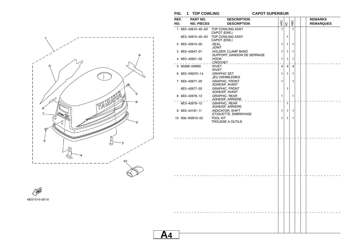**FIG. 1 TOP COWLING CAPOT SUPERIEUR**

**A4**



| REF.<br>PART NO.<br><b>DESCRIPTION</b><br><b>REMARKS</b><br>4AC<br>4BC<br>SC<br>NO.<br><b>NO. PIECES</b><br><b>DESCRIPTION</b><br><b>REMARQUES</b><br>$\mathbf{1}$<br>$\mathbf{1}$<br>1 6E0-42610-40-4D<br>TOP COWLING ASSY<br>CAPOT (ENS.)<br>TOP COWLING ASSY<br>6E3-42610-40-4D<br>1<br>CAPOT (ENS.)<br>2 6E0-42615-00<br>.SEAL<br>$\mathbf{1}$<br>1<br>1<br><b>JOINT</b><br>3 6E0-42647-01<br>.HOLDER, CLAMP BAND<br>1<br>1<br>1<br>.SUPPORT, SANDOW DE SERRAGE<br>HOOK.<br>4 6E0-42651-02<br>$\mathbf{1}$<br>1<br>1<br>$C$ ROCHET $\overline{C}$ , $\overline{C}$ , $\overline{C}$ , $\overline{C}$ , $\overline{C}$ , $\overline{C}$ , $\overline{C}$ , $\overline{C}$ , $\overline{C}$ , $\overline{C}$ , $\overline{C}$ , $\overline{C}$ , $\overline{C}$ , $\overline{C}$ , $\overline{C}$ , $\overline{C}$ , $\overline{C}$ , $\overline{C}$ , $\overline{C}$ , $\$<br>÷<br>5 90266-04M00<br>.RIVET<br>4<br>$\overline{4}$<br>4<br>.RIVET<br>6 6E0-W0070-14<br>.GRAPHIC SET<br>1<br>1<br>1<br>JEU DIEMBLEMES<br>.GRAPHIC, FRONT<br>7 6E0-42677-20<br>1<br>1<br>.ADHESIF, AVANT<br>.GRAPHIC, FRONT<br>1<br>6E3-42677-20<br>.ADHESIF, AVANT<br>.GRAPHIC, REAR<br>8 6E0-42678-12<br>$\mathbf{1}$<br>1<br>ADHESIF, ARRIERE<br>$\mathbf{1}$<br>.GRAPHIC, REAR<br>6E3-42678-12<br>.ADHESIF, ARRIERE<br>9 6E0-44191-11<br><b>INDICATOR, SHIFT</b><br>1<br>1<br>1<br>.ETIQUETTE, EMBRAYAGE<br><b>TOOL KIT</b><br>10 656-W2810-02<br>1<br>1<br>1<br><b>TROUSSE A OUTILS</b> | . טו<br>$\overline{ }$<br><b>VAL VI VULLINLUI</b> |  |  |  |  |  |  |  |
|------------------------------------------------------------------------------------------------------------------------------------------------------------------------------------------------------------------------------------------------------------------------------------------------------------------------------------------------------------------------------------------------------------------------------------------------------------------------------------------------------------------------------------------------------------------------------------------------------------------------------------------------------------------------------------------------------------------------------------------------------------------------------------------------------------------------------------------------------------------------------------------------------------------------------------------------------------------------------------------------------------------------------------------------------------------------------------------------------------------------------------------------------------------------------------------------------------------------------------------------------------------------------------------------------------------------------------------------------------------------------------------------------------------------------------------------------------------------------|---------------------------------------------------|--|--|--|--|--|--|--|
|                                                                                                                                                                                                                                                                                                                                                                                                                                                                                                                                                                                                                                                                                                                                                                                                                                                                                                                                                                                                                                                                                                                                                                                                                                                                                                                                                                                                                                                                              |                                                   |  |  |  |  |  |  |  |
|                                                                                                                                                                                                                                                                                                                                                                                                                                                                                                                                                                                                                                                                                                                                                                                                                                                                                                                                                                                                                                                                                                                                                                                                                                                                                                                                                                                                                                                                              |                                                   |  |  |  |  |  |  |  |
|                                                                                                                                                                                                                                                                                                                                                                                                                                                                                                                                                                                                                                                                                                                                                                                                                                                                                                                                                                                                                                                                                                                                                                                                                                                                                                                                                                                                                                                                              |                                                   |  |  |  |  |  |  |  |
|                                                                                                                                                                                                                                                                                                                                                                                                                                                                                                                                                                                                                                                                                                                                                                                                                                                                                                                                                                                                                                                                                                                                                                                                                                                                                                                                                                                                                                                                              |                                                   |  |  |  |  |  |  |  |
|                                                                                                                                                                                                                                                                                                                                                                                                                                                                                                                                                                                                                                                                                                                                                                                                                                                                                                                                                                                                                                                                                                                                                                                                                                                                                                                                                                                                                                                                              |                                                   |  |  |  |  |  |  |  |
|                                                                                                                                                                                                                                                                                                                                                                                                                                                                                                                                                                                                                                                                                                                                                                                                                                                                                                                                                                                                                                                                                                                                                                                                                                                                                                                                                                                                                                                                              |                                                   |  |  |  |  |  |  |  |
|                                                                                                                                                                                                                                                                                                                                                                                                                                                                                                                                                                                                                                                                                                                                                                                                                                                                                                                                                                                                                                                                                                                                                                                                                                                                                                                                                                                                                                                                              |                                                   |  |  |  |  |  |  |  |
|                                                                                                                                                                                                                                                                                                                                                                                                                                                                                                                                                                                                                                                                                                                                                                                                                                                                                                                                                                                                                                                                                                                                                                                                                                                                                                                                                                                                                                                                              |                                                   |  |  |  |  |  |  |  |
|                                                                                                                                                                                                                                                                                                                                                                                                                                                                                                                                                                                                                                                                                                                                                                                                                                                                                                                                                                                                                                                                                                                                                                                                                                                                                                                                                                                                                                                                              |                                                   |  |  |  |  |  |  |  |
|                                                                                                                                                                                                                                                                                                                                                                                                                                                                                                                                                                                                                                                                                                                                                                                                                                                                                                                                                                                                                                                                                                                                                                                                                                                                                                                                                                                                                                                                              |                                                   |  |  |  |  |  |  |  |
|                                                                                                                                                                                                                                                                                                                                                                                                                                                                                                                                                                                                                                                                                                                                                                                                                                                                                                                                                                                                                                                                                                                                                                                                                                                                                                                                                                                                                                                                              |                                                   |  |  |  |  |  |  |  |
|                                                                                                                                                                                                                                                                                                                                                                                                                                                                                                                                                                                                                                                                                                                                                                                                                                                                                                                                                                                                                                                                                                                                                                                                                                                                                                                                                                                                                                                                              |                                                   |  |  |  |  |  |  |  |
|                                                                                                                                                                                                                                                                                                                                                                                                                                                                                                                                                                                                                                                                                                                                                                                                                                                                                                                                                                                                                                                                                                                                                                                                                                                                                                                                                                                                                                                                              |                                                   |  |  |  |  |  |  |  |
|                                                                                                                                                                                                                                                                                                                                                                                                                                                                                                                                                                                                                                                                                                                                                                                                                                                                                                                                                                                                                                                                                                                                                                                                                                                                                                                                                                                                                                                                              |                                                   |  |  |  |  |  |  |  |
|                                                                                                                                                                                                                                                                                                                                                                                                                                                                                                                                                                                                                                                                                                                                                                                                                                                                                                                                                                                                                                                                                                                                                                                                                                                                                                                                                                                                                                                                              |                                                   |  |  |  |  |  |  |  |
|                                                                                                                                                                                                                                                                                                                                                                                                                                                                                                                                                                                                                                                                                                                                                                                                                                                                                                                                                                                                                                                                                                                                                                                                                                                                                                                                                                                                                                                                              |                                                   |  |  |  |  |  |  |  |
|                                                                                                                                                                                                                                                                                                                                                                                                                                                                                                                                                                                                                                                                                                                                                                                                                                                                                                                                                                                                                                                                                                                                                                                                                                                                                                                                                                                                                                                                              |                                                   |  |  |  |  |  |  |  |
|                                                                                                                                                                                                                                                                                                                                                                                                                                                                                                                                                                                                                                                                                                                                                                                                                                                                                                                                                                                                                                                                                                                                                                                                                                                                                                                                                                                                                                                                              |                                                   |  |  |  |  |  |  |  |
|                                                                                                                                                                                                                                                                                                                                                                                                                                                                                                                                                                                                                                                                                                                                                                                                                                                                                                                                                                                                                                                                                                                                                                                                                                                                                                                                                                                                                                                                              |                                                   |  |  |  |  |  |  |  |

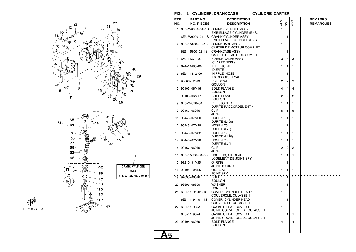

6E00100-4020

### **FIG. 2 CYLINDER. CRANKCASE CYLINDRE. CARTERCYLINDRE. CARTER**

| REF. | <b>PART NO.</b>    | <b>DESCRIPTION</b>                                                       |                |                |                |  | <b>REMARKS</b>   |
|------|--------------------|--------------------------------------------------------------------------|----------------|----------------|----------------|--|------------------|
| NO.  | <b>NO. PIECES</b>  | <b>DESCRIPTION</b>                                                       | 4AC            | SC             | 4BC            |  | <b>REMARQUES</b> |
|      |                    | 1 6E0-W0090-04-1S CRANK CYLINDER ASSY<br>EMBIELLAGE CYLINDRE (ENS.)      | 1              |                |                |  |                  |
|      |                    | 6E3-W0090-04-1S CRANK CYLINDER ASSY<br><b>EMBIELLAGE CYLINDRE (ENS.)</b> |                | 1              | 1              |  |                  |
|      | 2 6E0-15100-01-1S  | <b>CRANKCASE ASSY</b><br>CARTER DE MOTEUR COMPLET                        | 1              |                |                |  |                  |
|      | 6E3-15100-02-1S    | <b>CRANKCASE ASSY</b><br>CARTER DE MOTEUR COMPLET                        |                | 1              | 1              |  |                  |
|      | 3 650-11370-00     | CHECK VALVE ASSY<br>.CLAPET_(ENS.)__                                     | 3              | 3              | 3              |  |                  |
|      | 624–14485–00       | .PIPE, JOINT<br>.DURITE                                                  | 1              | 1              | 1              |  |                  |
|      | 5 6E5-11372-00     | .NIPPLE, HOSE<br>.RACCORD, TUYAU                                         | 1              | 1              | 1              |  |                  |
| 6    | 93606-12019        | PIN, DOWEL<br><b>GOUJON</b>                                              | $\overline{2}$ | $\overline{2}$ | $\overline{2}$ |  |                  |
|      | 7 90105-06M16      | <b>BOLT, FLANGE</b><br><b>BOULON</b>                                     | 4              | $\overline{4}$ | $\overline{4}$ |  |                  |
|      | 8 90105-06M17      | <b>BOLT, FLANGE</b><br>BOULON                                            | 2              | $\overline{c}$ | 2              |  |                  |
|      | 9 6E0-24378-00     | PIPE, JOINT 4<br>DURITE RACCORDEMENT 4                                   | $\mathbf{1}$   | 1              | $\mathbf{1}$   |  |                  |
|      | 10 90467-06016     | <b>CLIP</b><br>JONC                                                      | 5              | 5              | 5              |  |                  |
|      | 11 90445-07M00     | <b>HOSE (L100)</b><br>DURITE (L100)                                      | 1              | 1              | 1              |  |                  |
|      | 12 90445-07M28     | <b>HOSE (L70)</b><br>DURITE (L70)                                        | 1              | 1              | 1              |  |                  |
|      | 13 90445-07M32     | <b>HOSE (L120)</b><br>DURITE (L120)                                      | 1              | 1              | 1              |  |                  |
|      | 14 90445-07M28     | <b>HOSE (L70)</b><br>DURITE (L70)                                        | 1              | $\mathbf{1}$   | 1              |  |                  |
|      | 15 90467-06016     | <b>CLIP</b><br>JONC                                                      | $\overline{2}$ | 2              | 2              |  |                  |
|      | 16 6E0-15396-03-5B | HOUSING, OIL SEAL<br>LOGEMENT DE JOINT SPY                               | 1              | 1              | 1              |  |                  |
|      | 17 93210-31MJ5     | O-RING<br><b>JOINT TORIQUE</b>                                           | 1              | 1              | 1              |  |                  |
|      | 18 93101-10M25     | OIL SEAL<br>JOINT SPY                                                    | 1              | 1              | 1              |  |                  |
|      | 19 97095-06016     | <b>BOLT</b><br><b>BOULON</b>                                             | 1              | $\mathbf{1}$   | 1              |  |                  |
|      | 20 92995-06600     | WASHER<br>RONDELLE                                                       | 1              | 1              | 1              |  |                  |
|      | 21 6E0-11191-01-1S | COVER, CYLINDER HEAD 1<br>COUVERCLE, CULASSE 1                           | 1              |                |                |  |                  |
|      | 6E3-11191-01-1S    | COVER, CYLINDER HEAD 1<br>COUVERCLE, CULASSE 1                           |                | 1              | 1              |  |                  |
|      | 22 6E0-11193-A1    | GASKET, HEAD COVER 1<br>JOINT, COUVERCLE DE CULASSE 1                    | 1              |                |                |  |                  |
|      | 6E3-11193-A1       | <b>GASKET. HEAD COVER 1</b><br>JOINT, COUVERCLE DE CULASSE 1             |                | ٦.             | 1              |  |                  |
|      | 23 90105-06039     | <b>BOLT, FLANGE</b><br><b>BOULON</b>                                     | 4              | 4              | 4              |  |                  |
|      |                    |                                                                          |                |                |                |  |                  |

**A5**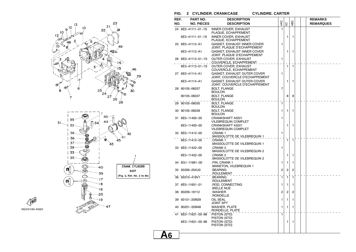

6E00100-4020

### **FIG. 2 CYLINDER. CRANKCASE CYLINDRE. CARTERCYLINDRE. CARTER**

| REF. | PART NO.           | <b>DESCRIPTION</b>                                            |                |                |                |  | <b>REMARKS</b>   |
|------|--------------------|---------------------------------------------------------------|----------------|----------------|----------------|--|------------------|
| NO.  | <b>NO. PIECES</b>  | <b>DESCRIPTION</b>                                            | 4AC            | SC             | 4BC            |  | <b>REMARQUES</b> |
|      | 24 6E0-41111-01-1S | <b>INNER COVER, EXHAUST</b><br>PLAQUE, ECHAPPEMENT            | 1              |                |                |  |                  |
|      | 6E3-41111-01-1S    | <b>INNER COVER, EXHAUST</b><br>PLAQUE, ECHAPPEMENT            |                | 1              | 1              |  |                  |
|      | 25 6E0-41112-A1    | GASKET, EXHAUST INNER COVER<br>JOINT, PLAQUE D'ECHAPPEMENT    | 1              |                |                |  |                  |
|      | 6E3-41112-A1       | GASKET, EXHAUST INNER COVER<br>JOINT, PLAQUE D'ECHAPPEMENT    |                | 1              | 1              |  |                  |
|      | 26 6E0-41113-01-1S | OUTER COVER, EXHAUST<br>COUVERCLE, ECHAPPEMENT                | 1              |                |                |  |                  |
|      | 6E3-41113-01-1S    | OUTER COVER, EXHAUST<br>COUVERCLE, ECHAPPEMENT                |                | $\mathbf{1}$   | 1              |  |                  |
|      | 27 6E0-41114-A1    | GASKET, EXHAUST OUTER COVER<br>JOINT, COUVERCLE D'ECHAPPEMENT | 1              |                |                |  |                  |
|      | 6E3-41114-A1       | GASKET, EXHAUST OUTER COVER<br>JOINT, COUVERCLE D'ECHAPPEMENT |                | 1              | 1              |  |                  |
|      | 28 90105-06037     | <b>BOLT, FLANGE</b><br><b>BOULON</b>                          | $\overline{7}$ |                |                |  |                  |
|      | 90105-06037        | <b>BOLT, FLANGE</b><br>BOULON _                               |                | 8              | 8              |  |                  |
|      | 29 90105-06035     | <b>BOLT, FLANGE</b><br><b>BOULON</b>                          | 1              |                |                |  |                  |
|      | 30 90105-06039     | <b>BOLT, FLANGE</b><br><b>BOULON</b>                          | 1              | 1              | 1              |  |                  |
|      | 31 6E0-11400-00    | <b>CRANKSHAFT ASSY</b><br><b>VILEBREQUIN COMPLET</b>          | 1              |                |                |  |                  |
|      | 6E3-11400-00       | <b>CRANKSHAFT ASSY</b><br><b>VILEBREQUIN COMPLET</b>          |                | 1.             | 1              |  |                  |
|      | 32 6E0-11412-00    | .CRANK 1<br><u>MASSOLOTTE DE VILEBREQUIN 1.</u>               | 1              |                |                |  |                  |
|      | 6E3-11412-00       | .CRANK 1<br>MASSOLOTTE DE VILEBREQUIN 1.                      |                | ٦.             | $\mathbf{1}$   |  |                  |
|      | 33 6E0-11422-00    | .CRANK 2<br>MASSOLOTTE DE VILEBREQUIN 2.                      | 1              |                |                |  |                  |
|      | 6E3-11422-00       | CRANK 2.<br>MASSOLOTTE DE VILEBREQUIN 2.                      |                | 1              | 1              |  |                  |
|      | 34 6G1-11681-00    | .PIN, CRANK 1<br>MANETON, VILEBREQUIN 1.                      | 1              | 1              | 1              |  |                  |
|      | 35 93306-204U0     | .BEARING<br>.ROULEMENT                                        | 2              | $\overline{2}$ | $\overline{2}$ |  |                  |
|      | 36 93310-418V1     | .BEARING<br>.ROULEMENT                                        | $\mathbf{1}$   | 1              | ī              |  |                  |
|      | 37 6E0-11651-01    | .ROD, CONNECTING<br>BIELLE NUE.                               | 1              | 1              | 1              |  |                  |
|      | 38 90209-18112     | .WASHER<br>.RONDELLE                                          | $\overline{2}$ | $\overline{2}$ | $\overline{2}$ |  |                  |
|      | 39 93101-20M29     | OIL SEAL<br><b>JOINT SPY</b>                                  | 1              | 1              | 1              |  |                  |
|      | 40 90201-32M48     | <b>WASHER, PLATE</b><br>RONDELLE, PLATE                       | 1              | 1              | 1              |  |                  |
|      | 41 6E0-11631-00-98 | PISTON (STD)<br>PISTON (STD)                                  | $\mathbf{1}$   |                |                |  |                  |
|      | 6E3-11631-00-98    | PISTON (STD)<br>PISTON (STD)                                  |                | 1              | 1              |  |                  |
|      |                    |                                                               |                |                |                |  |                  |

**A6**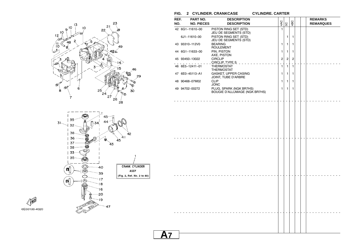

6E00100-4020

**FIG. 2 CYLINDER. CRANKCASE CYLINDRE. CARTER**

| REF.<br>NO. | PART NO.<br><b>NO. PIECES</b> | <b>DESCRIPTION</b><br><b>DESCRIPTION</b>                                |    | 4AC            | 5C             | 4BC            |  | <b>REMARKS</b><br><b>REMARQUES</b> |
|-------------|-------------------------------|-------------------------------------------------------------------------|----|----------------|----------------|----------------|--|------------------------------------|
|             | 42 6G1-11610-00               | PISTON RING SET (STD)                                                   |    | $\mathbf{1}$   |                |                |  |                                    |
|             | 6J1-11610-00                  | JEU DE SEGMENTS (STD)<br>PISTON RING SET (STD)<br>JEU DE SEGMENTS (STD) |    |                | 1              | 1              |  |                                    |
|             | 43 93310-112V0                | <b>BEARING</b><br><b>ROULEMENT</b>                                      |    | 1              | 1              | 1              |  |                                    |
|             | 44 6G1-11633-00               | PIN, PISTON<br>AXE, PISTON                                              |    | 1              | 1              | 1              |  |                                    |
|             | 45 93450-13022                | <b>CIRCLIP</b><br>CIRCLIP, TYPE $S_{n}$ , $\ldots$ , $\ldots$           | L, | $\overline{c}$ | $\overline{c}$ | $\overline{c}$ |  |                                    |
|             | 46 6E5-12411-01               | <b>THERMOSTAT</b><br>THERMOSTAT                                         |    | 1              | 1              | $\mathbf{1}$   |  |                                    |
|             | 47 6E0-45113-A1               | GASKET, UPPER CASING<br>JOINT, TUBE D'ARBRE                             |    | 1              | 1              | 1              |  |                                    |
|             | 48 90468-07M02                | <b>CLIP</b><br><b>JONC</b>                                              |    | 1              | 1              | 1              |  |                                    |
|             | 49 94702-00272                | PLUG, SPARK (NGK BR7HS)<br><b>BOUGIE D'ALLUMAGE (NGK BR7HS)</b>         |    | 1              | 1              | 1              |  |                                    |
|             |                               |                                                                         |    |                |                |                |  |                                    |
|             |                               |                                                                         |    |                |                |                |  |                                    |
|             |                               |                                                                         |    |                |                |                |  |                                    |
|             |                               |                                                                         |    |                |                |                |  |                                    |
|             |                               |                                                                         |    |                |                |                |  |                                    |
|             |                               |                                                                         |    |                |                |                |  |                                    |
|             |                               |                                                                         |    |                |                |                |  |                                    |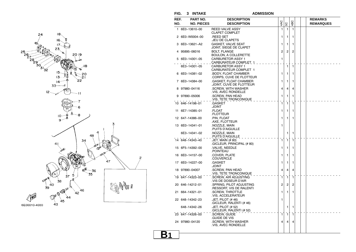



**FIG. 3 INTAKE ADMISSION**

| REF.<br>NO. | PART NO.<br><b>NO. PIECES</b> | <b>DESCRIPTION</b><br><b>DESCRIPTION</b>                 | 4AC            | 5C             | 4BC          |  | <b>REMARKS</b><br><b>REMARQUES</b> |
|-------------|-------------------------------|----------------------------------------------------------|----------------|----------------|--------------|--|------------------------------------|
| 1.          | 6E0-13610-00                  | <b>REED VALVE ASSY</b>                                   | 1              | $\mathbf{1}$   | 1            |  |                                    |
| 2           | 6E0-W0004-00                  | <b>CLAPET COMPLET</b><br>REED SET.                       | 1              | 1              | 1            |  |                                    |
| з           | 6E0-13621-A2                  | JEU DE CLAPETS.<br><b>GASKET, VALVE SEAT</b>             | 1              | 1              | 1            |  |                                    |
|             | 95895-06016                   | JOINT, SIEGE DE CLAPET<br><b>BOLT, FLANGE</b>            | $\overline{2}$ | $\overline{c}$ | 2            |  |                                    |
|             |                               | BOULON, A COLLERETTE                                     |                |                |              |  |                                    |
|             | 5 6E0-14301-05                | <b>CARBURETOR ASSY 1</b><br>CARBURATEUR COMPLET_1        | 1              |                |              |  |                                    |
|             | 6E3-14301-05                  | <b>CARBURETOR ASSY 1</b><br><b>CARBURATEUR COMPLET 1</b> |                | 1              | 1            |  |                                    |
|             | 6 6E0-14381-02                | .BODY, FLOAT CHAMBER<br>CORPS, CUVE DE FLOTTEUR          | 1              | 1              | 1            |  |                                    |
|             | 7 6E0-14384-00                | .GASKET, FLOAT CHAMBER<br>.JOINT, CUVE DE FLOTTEUR       | 1              | 1              | 1            |  |                                    |
|             | 97980-04116                   | .SCREW, WITH WASHER<br>.VIS, AVEC RONDELLE               | 4              | 4              | 4            |  |                                    |
| 9           | 97890-05006                   | SCREW, PAN HEAD<br>VIS, TETE TRONCONIQUE                 | 1              | 1              | 1            |  |                                    |
|             | 10 646-14198-01               | .GASKET<br>JOINT.                                        | 1              | 1              | 1            |  |                                    |
|             | 11 6E7-14385-01               | .FLOAT<br>.FLOTTEUR                                      | 1              | 1              | 1            |  |                                    |
|             | 12 647-14386-00               | .PIN, FLOAT<br>.AXE, FLOTTEUR                            | 1              | 1              | 1            |  |                                    |
|             | 13 6E0-14341-01               | .NOZZLE, MAIN<br>PUITS D'AIGUILLE.                       | 1              |                |              |  |                                    |
|             | 6E3-14341-02                  | .NOZZLE, MAIN<br>PUITS D'AIGUILLE.                       |                | 1              | 1            |  |                                    |
|             | 14 648-14343-40               | .JET, MAIN (# 80)<br>GICLEUR, PRINCIPAL (# 80)           | 1              | 1              | $\mathbf{1}$ |  |                                    |
|             | 15 6F5-14392-00               | .VALVE, NEEDLE<br>POINTEAU.                              | 1              | 1              | 1            |  |                                    |
|             | 16 6E0-14157-00               | .COVER, PLATE<br>.COUVERCLE                              | 1              | 1              | 1            |  |                                    |
|             | 17 6E0-14227-00               | .GASKET<br>.JOINT                                        | 1              | 1              | 1            |  |                                    |
|             | 18 97890-04007                | SCREW, PAN HEAD.<br>.VIS, TETE TRONCONIQUE               | 4              | 4              | 4            |  |                                    |
|             | 19 647-14323-00               | .SCREW, AIR ADJUSTING<br>.VIS DE DOSEUR D'AIR            | 1              | $\mathbf{1}$   | 1            |  |                                    |
|             | 20 646-14212-01               | .SPRING, PILOT ADJUSTING<br>RESSORT, VIS DE RALENTI      | 2              | 2              | 2            |  |                                    |
|             | 21 664-14321-01               | .SCREW, THROTTLE<br>.VIS, ACCELERATEUR                   | 1              | 1              | 1            |  |                                    |
|             | 22 648-14342-23               | .JET, PILOT (#46)<br>.GICLEUR, RALENTI (# 46)            | 1              |                |              |  |                                    |
|             | 648-14342-26                  | .JET, PILOT (# 52)<br>.GICLEUR, RALENTI (# 52)           |                | 1              | 1            |  |                                    |
|             | 23 647-14326-00               | SCREW, GUIDE.<br>GUIDE DE VIS.                           | $\mathbf{1}$   | $\mathbf{1}$   | 1            |  |                                    |
|             | 24 97980-04120                | .SCREW, WITH WASHER<br>VIS, AVEC RONDELLE                | 4              | 4              | 4            |  |                                    |
|             |                               |                                                          |                |                |              |  |                                    |

**B1**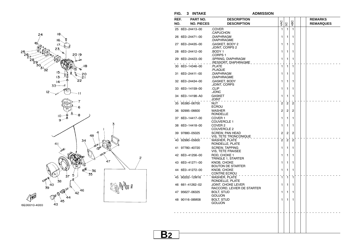



**FIG. 3 INTAKE ADMISSION**

| $\mathbf{1}$<br>25 6E0-24413-00<br>.COVER<br>1<br>1<br>.CAPUCHON<br>26 6E0-24471-00<br>.DIAPHRAGM<br>1<br>1<br>1<br>.DIAPHRAGME<br>.GASKET, BODY 2<br>1<br>27 6E0-24435-00<br>1<br>1<br>JOINT, CORPS 2<br>.BODY 1<br>1<br>28 6E0-24412-00<br>1<br>1<br>CORPS 1<br>29 6E0-24423-00<br>SPRING, DIAPHRAGM<br>1<br>1<br>1<br><u>.RESSORT, DIAPHRAGME _</u><br>30 6E0-14346-00<br>1<br>1<br>1<br>.PLATE<br>.PLAQUE<br>.DIAPHRAGM<br>1<br>31 6E0-24411-00<br>1<br>1<br>.DIAPHRAGME<br>.GASKET, BODY<br>1<br>32 6E0-24434-00<br>1<br>1<br>JOINT, CORPS<br>.CLIP<br>1<br>33 6E0-14159-00<br>1<br>1<br>JONC.<br>34 6E0-14198-A0<br><b>GASKET</b><br>1<br>1<br>1<br>JOINT<br>35 95380-06700<br><b>NUT</b><br>$\overline{c}$<br>$\overline{2}$<br>$\overline{2}$<br><b>ECROU</b><br>$\overline{c}$<br>$\overline{2}$<br>$\overline{2}$<br>36 92995-06600<br><b>WASHER</b><br><b>RONDELLE</b><br>COVER <sub>1</sub><br>1<br>1<br>37 6E0-14417-00<br>1<br><b>COUVERCLE 1</b><br>COVER <sub>2</sub><br>1<br>1<br>38 6E0-14418-00<br>1<br>COUVERCLE 2<br>$\overline{2}$<br>$\overline{2}$<br>2<br>39 97880-05025<br><b>SCREW. PAN HEAD</b><br>VIS, TETE TRONCONIQUE<br>$\overline{2}$<br><b>WASHER, PLATE</b><br>$\overline{2}$<br>$\overline{2}$<br>40 92990-05600<br>RONDELLE, PLATE<br>41 97780-40720<br><b>SCREW, TAPPING</b><br>1<br>1<br>1<br><b>VIS, TETE FRAISEE</b><br>ROD. CHOKE 1<br>1<br>42 6E0-41256-00<br>1<br>1<br>TRINGLE 1, STARTER<br>KNOB. CHOKE<br>1<br>43 6E0-41271-00<br>1<br>1<br><b>BOUTON DE STARTER</b><br>44 6E0-41272-00<br>KNOB. CHOKE<br>1<br>1<br>1<br>CONTRE ECROU<br>45 90202-12M16<br>1<br><b>WASHER, PLATE</b><br>1<br>1<br>RONDELLE, PLATE<br>46 661-41262-02<br><b>JOINT, CHOKE LEVER</b><br>1<br>1<br>1<br>RACCORD, LEVIER DE STARTER<br><b>BOLT, STUD</b><br>1<br>47 95627-06325<br>1<br>1<br><b>GOUJON</b><br><b>BOLT, STUD</b><br>1<br>48 90116-06M08<br>1<br>1<br><b>GOUJON</b> | REF.<br>NO. | PART NO.<br><b>NO. PIECES</b> | <b>DESCRIPTION</b><br><b>DESCRIPTION</b> | 4AC | SC | 4BC |  | <b>REMARKS</b><br><b>REMARQUES</b> |
|------------------------------------------------------------------------------------------------------------------------------------------------------------------------------------------------------------------------------------------------------------------------------------------------------------------------------------------------------------------------------------------------------------------------------------------------------------------------------------------------------------------------------------------------------------------------------------------------------------------------------------------------------------------------------------------------------------------------------------------------------------------------------------------------------------------------------------------------------------------------------------------------------------------------------------------------------------------------------------------------------------------------------------------------------------------------------------------------------------------------------------------------------------------------------------------------------------------------------------------------------------------------------------------------------------------------------------------------------------------------------------------------------------------------------------------------------------------------------------------------------------------------------------------------------------------------------------------------------------------------------------------------------------------------------------------------------------------------------------------------------------------------------------------------------------------------------------------------------------------------------------------------------------|-------------|-------------------------------|------------------------------------------|-----|----|-----|--|------------------------------------|
|                                                                                                                                                                                                                                                                                                                                                                                                                                                                                                                                                                                                                                                                                                                                                                                                                                                                                                                                                                                                                                                                                                                                                                                                                                                                                                                                                                                                                                                                                                                                                                                                                                                                                                                                                                                                                                                                                                            |             |                               |                                          |     |    |     |  |                                    |
|                                                                                                                                                                                                                                                                                                                                                                                                                                                                                                                                                                                                                                                                                                                                                                                                                                                                                                                                                                                                                                                                                                                                                                                                                                                                                                                                                                                                                                                                                                                                                                                                                                                                                                                                                                                                                                                                                                            |             |                               |                                          |     |    |     |  |                                    |
|                                                                                                                                                                                                                                                                                                                                                                                                                                                                                                                                                                                                                                                                                                                                                                                                                                                                                                                                                                                                                                                                                                                                                                                                                                                                                                                                                                                                                                                                                                                                                                                                                                                                                                                                                                                                                                                                                                            |             |                               |                                          |     |    |     |  |                                    |
|                                                                                                                                                                                                                                                                                                                                                                                                                                                                                                                                                                                                                                                                                                                                                                                                                                                                                                                                                                                                                                                                                                                                                                                                                                                                                                                                                                                                                                                                                                                                                                                                                                                                                                                                                                                                                                                                                                            |             |                               |                                          |     |    |     |  |                                    |
|                                                                                                                                                                                                                                                                                                                                                                                                                                                                                                                                                                                                                                                                                                                                                                                                                                                                                                                                                                                                                                                                                                                                                                                                                                                                                                                                                                                                                                                                                                                                                                                                                                                                                                                                                                                                                                                                                                            |             |                               |                                          |     |    |     |  |                                    |
|                                                                                                                                                                                                                                                                                                                                                                                                                                                                                                                                                                                                                                                                                                                                                                                                                                                                                                                                                                                                                                                                                                                                                                                                                                                                                                                                                                                                                                                                                                                                                                                                                                                                                                                                                                                                                                                                                                            |             |                               |                                          |     |    |     |  |                                    |
|                                                                                                                                                                                                                                                                                                                                                                                                                                                                                                                                                                                                                                                                                                                                                                                                                                                                                                                                                                                                                                                                                                                                                                                                                                                                                                                                                                                                                                                                                                                                                                                                                                                                                                                                                                                                                                                                                                            |             |                               |                                          |     |    |     |  |                                    |
|                                                                                                                                                                                                                                                                                                                                                                                                                                                                                                                                                                                                                                                                                                                                                                                                                                                                                                                                                                                                                                                                                                                                                                                                                                                                                                                                                                                                                                                                                                                                                                                                                                                                                                                                                                                                                                                                                                            |             |                               |                                          |     |    |     |  |                                    |
|                                                                                                                                                                                                                                                                                                                                                                                                                                                                                                                                                                                                                                                                                                                                                                                                                                                                                                                                                                                                                                                                                                                                                                                                                                                                                                                                                                                                                                                                                                                                                                                                                                                                                                                                                                                                                                                                                                            |             |                               |                                          |     |    |     |  |                                    |
|                                                                                                                                                                                                                                                                                                                                                                                                                                                                                                                                                                                                                                                                                                                                                                                                                                                                                                                                                                                                                                                                                                                                                                                                                                                                                                                                                                                                                                                                                                                                                                                                                                                                                                                                                                                                                                                                                                            |             |                               |                                          |     |    |     |  |                                    |
|                                                                                                                                                                                                                                                                                                                                                                                                                                                                                                                                                                                                                                                                                                                                                                                                                                                                                                                                                                                                                                                                                                                                                                                                                                                                                                                                                                                                                                                                                                                                                                                                                                                                                                                                                                                                                                                                                                            |             |                               |                                          |     |    |     |  |                                    |
|                                                                                                                                                                                                                                                                                                                                                                                                                                                                                                                                                                                                                                                                                                                                                                                                                                                                                                                                                                                                                                                                                                                                                                                                                                                                                                                                                                                                                                                                                                                                                                                                                                                                                                                                                                                                                                                                                                            |             |                               |                                          |     |    |     |  |                                    |
|                                                                                                                                                                                                                                                                                                                                                                                                                                                                                                                                                                                                                                                                                                                                                                                                                                                                                                                                                                                                                                                                                                                                                                                                                                                                                                                                                                                                                                                                                                                                                                                                                                                                                                                                                                                                                                                                                                            |             |                               |                                          |     |    |     |  |                                    |
|                                                                                                                                                                                                                                                                                                                                                                                                                                                                                                                                                                                                                                                                                                                                                                                                                                                                                                                                                                                                                                                                                                                                                                                                                                                                                                                                                                                                                                                                                                                                                                                                                                                                                                                                                                                                                                                                                                            |             |                               |                                          |     |    |     |  |                                    |
|                                                                                                                                                                                                                                                                                                                                                                                                                                                                                                                                                                                                                                                                                                                                                                                                                                                                                                                                                                                                                                                                                                                                                                                                                                                                                                                                                                                                                                                                                                                                                                                                                                                                                                                                                                                                                                                                                                            |             |                               |                                          |     |    |     |  |                                    |
|                                                                                                                                                                                                                                                                                                                                                                                                                                                                                                                                                                                                                                                                                                                                                                                                                                                                                                                                                                                                                                                                                                                                                                                                                                                                                                                                                                                                                                                                                                                                                                                                                                                                                                                                                                                                                                                                                                            |             |                               |                                          |     |    |     |  |                                    |
|                                                                                                                                                                                                                                                                                                                                                                                                                                                                                                                                                                                                                                                                                                                                                                                                                                                                                                                                                                                                                                                                                                                                                                                                                                                                                                                                                                                                                                                                                                                                                                                                                                                                                                                                                                                                                                                                                                            |             |                               |                                          |     |    |     |  |                                    |
|                                                                                                                                                                                                                                                                                                                                                                                                                                                                                                                                                                                                                                                                                                                                                                                                                                                                                                                                                                                                                                                                                                                                                                                                                                                                                                                                                                                                                                                                                                                                                                                                                                                                                                                                                                                                                                                                                                            |             |                               |                                          |     |    |     |  |                                    |
|                                                                                                                                                                                                                                                                                                                                                                                                                                                                                                                                                                                                                                                                                                                                                                                                                                                                                                                                                                                                                                                                                                                                                                                                                                                                                                                                                                                                                                                                                                                                                                                                                                                                                                                                                                                                                                                                                                            |             |                               |                                          |     |    |     |  |                                    |
|                                                                                                                                                                                                                                                                                                                                                                                                                                                                                                                                                                                                                                                                                                                                                                                                                                                                                                                                                                                                                                                                                                                                                                                                                                                                                                                                                                                                                                                                                                                                                                                                                                                                                                                                                                                                                                                                                                            |             |                               |                                          |     |    |     |  |                                    |
|                                                                                                                                                                                                                                                                                                                                                                                                                                                                                                                                                                                                                                                                                                                                                                                                                                                                                                                                                                                                                                                                                                                                                                                                                                                                                                                                                                                                                                                                                                                                                                                                                                                                                                                                                                                                                                                                                                            |             |                               |                                          |     |    |     |  |                                    |
|                                                                                                                                                                                                                                                                                                                                                                                                                                                                                                                                                                                                                                                                                                                                                                                                                                                                                                                                                                                                                                                                                                                                                                                                                                                                                                                                                                                                                                                                                                                                                                                                                                                                                                                                                                                                                                                                                                            |             |                               |                                          |     |    |     |  |                                    |
|                                                                                                                                                                                                                                                                                                                                                                                                                                                                                                                                                                                                                                                                                                                                                                                                                                                                                                                                                                                                                                                                                                                                                                                                                                                                                                                                                                                                                                                                                                                                                                                                                                                                                                                                                                                                                                                                                                            |             |                               |                                          |     |    |     |  |                                    |
|                                                                                                                                                                                                                                                                                                                                                                                                                                                                                                                                                                                                                                                                                                                                                                                                                                                                                                                                                                                                                                                                                                                                                                                                                                                                                                                                                                                                                                                                                                                                                                                                                                                                                                                                                                                                                                                                                                            |             |                               |                                          |     |    |     |  |                                    |
|                                                                                                                                                                                                                                                                                                                                                                                                                                                                                                                                                                                                                                                                                                                                                                                                                                                                                                                                                                                                                                                                                                                                                                                                                                                                                                                                                                                                                                                                                                                                                                                                                                                                                                                                                                                                                                                                                                            |             |                               |                                          |     |    |     |  |                                    |
|                                                                                                                                                                                                                                                                                                                                                                                                                                                                                                                                                                                                                                                                                                                                                                                                                                                                                                                                                                                                                                                                                                                                                                                                                                                                                                                                                                                                                                                                                                                                                                                                                                                                                                                                                                                                                                                                                                            |             |                               |                                          |     |    |     |  |                                    |
|                                                                                                                                                                                                                                                                                                                                                                                                                                                                                                                                                                                                                                                                                                                                                                                                                                                                                                                                                                                                                                                                                                                                                                                                                                                                                                                                                                                                                                                                                                                                                                                                                                                                                                                                                                                                                                                                                                            |             |                               |                                          |     |    |     |  |                                    |

**B2**

 $\overline{c}$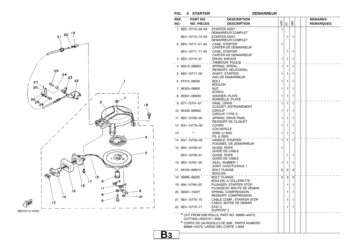

**B3**



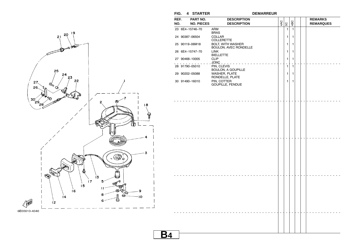

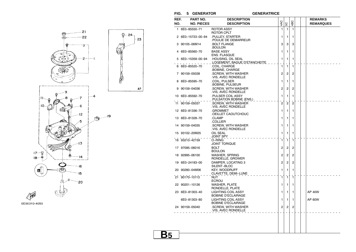**FIG. 5 GENERATOR GENERATRICE**

 $-23$ 

 $\mathsf{AP}$ 

## **GENERATRICE**



| 4AC<br>4BC<br><b>NO. PIECES</b><br><b>DESCRIPTION</b><br>SC<br>1<br>1 6E0-85550-71<br><b>ROTOR ASSY</b><br>$\mathbf{1}$<br>1<br>ROTOR CPLT<br>2 6E0-15723-00-94<br>PULLEY, STARTER<br>1<br>1<br>1<br>POULIE DE DEMARREUR.<br>3 90105-06M14<br><b>BOLT FLANGE</b><br>3<br>3<br>3<br>BOULON.<br><b>BASE ASSY</b><br>6E0-85560-70<br>1<br>1<br>4<br>1<br><b>ENS. FLASQUE</b><br>.HOUSING, OIL SEAL<br>5 6E0-15359-00-94<br>1<br>1<br>1<br><u>LOGEMENT, BAGUE D'ETANCHEITE</u><br>COIL. CHARGE<br>$\mathbf{1}$<br>1<br>1<br>6 6E0-85520-70<br>BOBINE, CHARGE<br>SCREW, WITH WASHER<br>7 90159-05038<br>2<br>2<br>2<br>.VIS, AVEC RONDELLE<br>.COIL, PULSER<br>8 6E0-85595-70<br>1<br>1<br>1<br>BOBINE, PULSEUR<br>9 90159-04036<br>.SCREW, WITH WASHER<br>2<br>2<br>2<br>VIS, AVEC RONDELLE<br>PULSER COIL ASSY<br>10 6E0-85592-70<br>1<br>1<br>1<br>PULSATION BOBINE (ENS.)<br>$\overline{2}$<br>$\overline{2}$<br>11 90159-05037<br>.SCREW, WITH WASHER<br>$\overline{2}$<br>VIS, AVEC RONDELLE<br>12 6E0-81336-70<br>.grommet<br>1<br>1<br>1<br>OEILLET CAOUTCHOUC<br>13 6E0-81328-70<br>.CLAMP<br>1<br>1<br>1<br>.COLLIER<br>14 90159-04035<br>.SCREW, WITH WASHER<br>1<br>1<br>1<br>VIS, AVEC RONDELLE<br>OIL SEAL<br>15 93102-20M25<br>1<br>1<br>1<br>JOINT SPY<br>16 93210-42159<br>O-RING<br>$\mathbf{1}$<br>$\mathbf{1}$<br>$\mathbf{1}$<br><b>JOINT TORIQUE</b><br>17 97095-06016<br>BOLT<br>2<br>2<br>2<br><b>BOULON</b><br><b>WASHER, SPRING</b><br>18 92995-06100<br>2<br>2<br>2<br>RONDELLE, GROWER<br>19 6E0-24183-00<br>DAMPER, LOCATING 3<br>$\overline{2}$<br>$\overline{2}$<br>2<br>SILENT-BLOC<br>20 90280-04M06<br><b>KEY, WOODRUFF</b><br>1<br>1<br>1<br>CLAVETTE, DEMI-LUNE<br>21 90170-10113<br>1<br>$\mathbf{1}$<br>NUT<br>1<br><b>ECROU</b><br><b>WASHER, PLATE</b><br>22 90201-10126<br>1<br>1<br>1<br>RONDELLE, PLATE<br><b>LIGHTING COIL ASSY</b><br>23 6E0-81303-40<br>1<br><b>AP 40W</b><br>1<br>1<br><b>BOBINE D'ECLAIRAGE</b><br>AP 60W<br>6E0-81303-80<br><b>LIGHTING COIL ASSY</b><br>1<br>1<br>1<br><b>BOBINE D'ECLAIRAGE</b><br>24 90159-05040<br>.SCREW, WITH WASHER<br>$\overline{2}$<br>$\overline{2}$<br>2<br>.VIS, AVEC RONDELLE | REF. | PART NO. | <b>DESCRIPTION</b> |  |  | <b>REMARKS</b>   |
|------------------------------------------------------------------------------------------------------------------------------------------------------------------------------------------------------------------------------------------------------------------------------------------------------------------------------------------------------------------------------------------------------------------------------------------------------------------------------------------------------------------------------------------------------------------------------------------------------------------------------------------------------------------------------------------------------------------------------------------------------------------------------------------------------------------------------------------------------------------------------------------------------------------------------------------------------------------------------------------------------------------------------------------------------------------------------------------------------------------------------------------------------------------------------------------------------------------------------------------------------------------------------------------------------------------------------------------------------------------------------------------------------------------------------------------------------------------------------------------------------------------------------------------------------------------------------------------------------------------------------------------------------------------------------------------------------------------------------------------------------------------------------------------------------------------------------------------------------------------------------------------------------------------------------------------------------------------------------------------------------------------------------------------------------------------------------------------------------------------------------------------------------------------------|------|----------|--------------------|--|--|------------------|
|                                                                                                                                                                                                                                                                                                                                                                                                                                                                                                                                                                                                                                                                                                                                                                                                                                                                                                                                                                                                                                                                                                                                                                                                                                                                                                                                                                                                                                                                                                                                                                                                                                                                                                                                                                                                                                                                                                                                                                                                                                                                                                                                                                        | NO.  |          |                    |  |  | <b>REMARQUES</b> |
|                                                                                                                                                                                                                                                                                                                                                                                                                                                                                                                                                                                                                                                                                                                                                                                                                                                                                                                                                                                                                                                                                                                                                                                                                                                                                                                                                                                                                                                                                                                                                                                                                                                                                                                                                                                                                                                                                                                                                                                                                                                                                                                                                                        |      |          |                    |  |  |                  |
|                                                                                                                                                                                                                                                                                                                                                                                                                                                                                                                                                                                                                                                                                                                                                                                                                                                                                                                                                                                                                                                                                                                                                                                                                                                                                                                                                                                                                                                                                                                                                                                                                                                                                                                                                                                                                                                                                                                                                                                                                                                                                                                                                                        |      |          |                    |  |  |                  |
|                                                                                                                                                                                                                                                                                                                                                                                                                                                                                                                                                                                                                                                                                                                                                                                                                                                                                                                                                                                                                                                                                                                                                                                                                                                                                                                                                                                                                                                                                                                                                                                                                                                                                                                                                                                                                                                                                                                                                                                                                                                                                                                                                                        |      |          |                    |  |  |                  |
|                                                                                                                                                                                                                                                                                                                                                                                                                                                                                                                                                                                                                                                                                                                                                                                                                                                                                                                                                                                                                                                                                                                                                                                                                                                                                                                                                                                                                                                                                                                                                                                                                                                                                                                                                                                                                                                                                                                                                                                                                                                                                                                                                                        |      |          |                    |  |  |                  |
|                                                                                                                                                                                                                                                                                                                                                                                                                                                                                                                                                                                                                                                                                                                                                                                                                                                                                                                                                                                                                                                                                                                                                                                                                                                                                                                                                                                                                                                                                                                                                                                                                                                                                                                                                                                                                                                                                                                                                                                                                                                                                                                                                                        |      |          |                    |  |  |                  |
|                                                                                                                                                                                                                                                                                                                                                                                                                                                                                                                                                                                                                                                                                                                                                                                                                                                                                                                                                                                                                                                                                                                                                                                                                                                                                                                                                                                                                                                                                                                                                                                                                                                                                                                                                                                                                                                                                                                                                                                                                                                                                                                                                                        |      |          |                    |  |  |                  |
|                                                                                                                                                                                                                                                                                                                                                                                                                                                                                                                                                                                                                                                                                                                                                                                                                                                                                                                                                                                                                                                                                                                                                                                                                                                                                                                                                                                                                                                                                                                                                                                                                                                                                                                                                                                                                                                                                                                                                                                                                                                                                                                                                                        |      |          |                    |  |  |                  |
|                                                                                                                                                                                                                                                                                                                                                                                                                                                                                                                                                                                                                                                                                                                                                                                                                                                                                                                                                                                                                                                                                                                                                                                                                                                                                                                                                                                                                                                                                                                                                                                                                                                                                                                                                                                                                                                                                                                                                                                                                                                                                                                                                                        |      |          |                    |  |  |                  |
|                                                                                                                                                                                                                                                                                                                                                                                                                                                                                                                                                                                                                                                                                                                                                                                                                                                                                                                                                                                                                                                                                                                                                                                                                                                                                                                                                                                                                                                                                                                                                                                                                                                                                                                                                                                                                                                                                                                                                                                                                                                                                                                                                                        |      |          |                    |  |  |                  |
|                                                                                                                                                                                                                                                                                                                                                                                                                                                                                                                                                                                                                                                                                                                                                                                                                                                                                                                                                                                                                                                                                                                                                                                                                                                                                                                                                                                                                                                                                                                                                                                                                                                                                                                                                                                                                                                                                                                                                                                                                                                                                                                                                                        |      |          |                    |  |  |                  |
|                                                                                                                                                                                                                                                                                                                                                                                                                                                                                                                                                                                                                                                                                                                                                                                                                                                                                                                                                                                                                                                                                                                                                                                                                                                                                                                                                                                                                                                                                                                                                                                                                                                                                                                                                                                                                                                                                                                                                                                                                                                                                                                                                                        |      |          |                    |  |  |                  |
|                                                                                                                                                                                                                                                                                                                                                                                                                                                                                                                                                                                                                                                                                                                                                                                                                                                                                                                                                                                                                                                                                                                                                                                                                                                                                                                                                                                                                                                                                                                                                                                                                                                                                                                                                                                                                                                                                                                                                                                                                                                                                                                                                                        |      |          |                    |  |  |                  |
|                                                                                                                                                                                                                                                                                                                                                                                                                                                                                                                                                                                                                                                                                                                                                                                                                                                                                                                                                                                                                                                                                                                                                                                                                                                                                                                                                                                                                                                                                                                                                                                                                                                                                                                                                                                                                                                                                                                                                                                                                                                                                                                                                                        |      |          |                    |  |  |                  |
|                                                                                                                                                                                                                                                                                                                                                                                                                                                                                                                                                                                                                                                                                                                                                                                                                                                                                                                                                                                                                                                                                                                                                                                                                                                                                                                                                                                                                                                                                                                                                                                                                                                                                                                                                                                                                                                                                                                                                                                                                                                                                                                                                                        |      |          |                    |  |  |                  |
|                                                                                                                                                                                                                                                                                                                                                                                                                                                                                                                                                                                                                                                                                                                                                                                                                                                                                                                                                                                                                                                                                                                                                                                                                                                                                                                                                                                                                                                                                                                                                                                                                                                                                                                                                                                                                                                                                                                                                                                                                                                                                                                                                                        |      |          |                    |  |  |                  |
|                                                                                                                                                                                                                                                                                                                                                                                                                                                                                                                                                                                                                                                                                                                                                                                                                                                                                                                                                                                                                                                                                                                                                                                                                                                                                                                                                                                                                                                                                                                                                                                                                                                                                                                                                                                                                                                                                                                                                                                                                                                                                                                                                                        |      |          |                    |  |  |                  |
|                                                                                                                                                                                                                                                                                                                                                                                                                                                                                                                                                                                                                                                                                                                                                                                                                                                                                                                                                                                                                                                                                                                                                                                                                                                                                                                                                                                                                                                                                                                                                                                                                                                                                                                                                                                                                                                                                                                                                                                                                                                                                                                                                                        |      |          |                    |  |  |                  |
|                                                                                                                                                                                                                                                                                                                                                                                                                                                                                                                                                                                                                                                                                                                                                                                                                                                                                                                                                                                                                                                                                                                                                                                                                                                                                                                                                                                                                                                                                                                                                                                                                                                                                                                                                                                                                                                                                                                                                                                                                                                                                                                                                                        |      |          |                    |  |  |                  |
|                                                                                                                                                                                                                                                                                                                                                                                                                                                                                                                                                                                                                                                                                                                                                                                                                                                                                                                                                                                                                                                                                                                                                                                                                                                                                                                                                                                                                                                                                                                                                                                                                                                                                                                                                                                                                                                                                                                                                                                                                                                                                                                                                                        |      |          |                    |  |  |                  |
|                                                                                                                                                                                                                                                                                                                                                                                                                                                                                                                                                                                                                                                                                                                                                                                                                                                                                                                                                                                                                                                                                                                                                                                                                                                                                                                                                                                                                                                                                                                                                                                                                                                                                                                                                                                                                                                                                                                                                                                                                                                                                                                                                                        |      |          |                    |  |  |                  |
|                                                                                                                                                                                                                                                                                                                                                                                                                                                                                                                                                                                                                                                                                                                                                                                                                                                                                                                                                                                                                                                                                                                                                                                                                                                                                                                                                                                                                                                                                                                                                                                                                                                                                                                                                                                                                                                                                                                                                                                                                                                                                                                                                                        |      |          |                    |  |  |                  |
|                                                                                                                                                                                                                                                                                                                                                                                                                                                                                                                                                                                                                                                                                                                                                                                                                                                                                                                                                                                                                                                                                                                                                                                                                                                                                                                                                                                                                                                                                                                                                                                                                                                                                                                                                                                                                                                                                                                                                                                                                                                                                                                                                                        |      |          |                    |  |  |                  |
|                                                                                                                                                                                                                                                                                                                                                                                                                                                                                                                                                                                                                                                                                                                                                                                                                                                                                                                                                                                                                                                                                                                                                                                                                                                                                                                                                                                                                                                                                                                                                                                                                                                                                                                                                                                                                                                                                                                                                                                                                                                                                                                                                                        |      |          |                    |  |  |                  |
|                                                                                                                                                                                                                                                                                                                                                                                                                                                                                                                                                                                                                                                                                                                                                                                                                                                                                                                                                                                                                                                                                                                                                                                                                                                                                                                                                                                                                                                                                                                                                                                                                                                                                                                                                                                                                                                                                                                                                                                                                                                                                                                                                                        |      |          |                    |  |  |                  |
|                                                                                                                                                                                                                                                                                                                                                                                                                                                                                                                                                                                                                                                                                                                                                                                                                                                                                                                                                                                                                                                                                                                                                                                                                                                                                                                                                                                                                                                                                                                                                                                                                                                                                                                                                                                                                                                                                                                                                                                                                                                                                                                                                                        |      |          |                    |  |  |                  |
|                                                                                                                                                                                                                                                                                                                                                                                                                                                                                                                                                                                                                                                                                                                                                                                                                                                                                                                                                                                                                                                                                                                                                                                                                                                                                                                                                                                                                                                                                                                                                                                                                                                                                                                                                                                                                                                                                                                                                                                                                                                                                                                                                                        |      |          |                    |  |  |                  |
|                                                                                                                                                                                                                                                                                                                                                                                                                                                                                                                                                                                                                                                                                                                                                                                                                                                                                                                                                                                                                                                                                                                                                                                                                                                                                                                                                                                                                                                                                                                                                                                                                                                                                                                                                                                                                                                                                                                                                                                                                                                                                                                                                                        |      |          |                    |  |  |                  |
|                                                                                                                                                                                                                                                                                                                                                                                                                                                                                                                                                                                                                                                                                                                                                                                                                                                                                                                                                                                                                                                                                                                                                                                                                                                                                                                                                                                                                                                                                                                                                                                                                                                                                                                                                                                                                                                                                                                                                                                                                                                                                                                                                                        |      |          |                    |  |  |                  |
|                                                                                                                                                                                                                                                                                                                                                                                                                                                                                                                                                                                                                                                                                                                                                                                                                                                                                                                                                                                                                                                                                                                                                                                                                                                                                                                                                                                                                                                                                                                                                                                                                                                                                                                                                                                                                                                                                                                                                                                                                                                                                                                                                                        |      |          |                    |  |  |                  |
|                                                                                                                                                                                                                                                                                                                                                                                                                                                                                                                                                                                                                                                                                                                                                                                                                                                                                                                                                                                                                                                                                                                                                                                                                                                                                                                                                                                                                                                                                                                                                                                                                                                                                                                                                                                                                                                                                                                                                                                                                                                                                                                                                                        |      |          |                    |  |  |                  |
|                                                                                                                                                                                                                                                                                                                                                                                                                                                                                                                                                                                                                                                                                                                                                                                                                                                                                                                                                                                                                                                                                                                                                                                                                                                                                                                                                                                                                                                                                                                                                                                                                                                                                                                                                                                                                                                                                                                                                                                                                                                                                                                                                                        |      |          |                    |  |  |                  |
|                                                                                                                                                                                                                                                                                                                                                                                                                                                                                                                                                                                                                                                                                                                                                                                                                                                                                                                                                                                                                                                                                                                                                                                                                                                                                                                                                                                                                                                                                                                                                                                                                                                                                                                                                                                                                                                                                                                                                                                                                                                                                                                                                                        |      |          |                    |  |  |                  |
|                                                                                                                                                                                                                                                                                                                                                                                                                                                                                                                                                                                                                                                                                                                                                                                                                                                                                                                                                                                                                                                                                                                                                                                                                                                                                                                                                                                                                                                                                                                                                                                                                                                                                                                                                                                                                                                                                                                                                                                                                                                                                                                                                                        |      |          |                    |  |  |                  |
|                                                                                                                                                                                                                                                                                                                                                                                                                                                                                                                                                                                                                                                                                                                                                                                                                                                                                                                                                                                                                                                                                                                                                                                                                                                                                                                                                                                                                                                                                                                                                                                                                                                                                                                                                                                                                                                                                                                                                                                                                                                                                                                                                                        |      |          |                    |  |  |                  |
|                                                                                                                                                                                                                                                                                                                                                                                                                                                                                                                                                                                                                                                                                                                                                                                                                                                                                                                                                                                                                                                                                                                                                                                                                                                                                                                                                                                                                                                                                                                                                                                                                                                                                                                                                                                                                                                                                                                                                                                                                                                                                                                                                                        |      |          |                    |  |  |                  |
|                                                                                                                                                                                                                                                                                                                                                                                                                                                                                                                                                                                                                                                                                                                                                                                                                                                                                                                                                                                                                                                                                                                                                                                                                                                                                                                                                                                                                                                                                                                                                                                                                                                                                                                                                                                                                                                                                                                                                                                                                                                                                                                                                                        |      |          |                    |  |  |                  |
|                                                                                                                                                                                                                                                                                                                                                                                                                                                                                                                                                                                                                                                                                                                                                                                                                                                                                                                                                                                                                                                                                                                                                                                                                                                                                                                                                                                                                                                                                                                                                                                                                                                                                                                                                                                                                                                                                                                                                                                                                                                                                                                                                                        |      |          |                    |  |  |                  |
|                                                                                                                                                                                                                                                                                                                                                                                                                                                                                                                                                                                                                                                                                                                                                                                                                                                                                                                                                                                                                                                                                                                                                                                                                                                                                                                                                                                                                                                                                                                                                                                                                                                                                                                                                                                                                                                                                                                                                                                                                                                                                                                                                                        |      |          |                    |  |  |                  |
|                                                                                                                                                                                                                                                                                                                                                                                                                                                                                                                                                                                                                                                                                                                                                                                                                                                                                                                                                                                                                                                                                                                                                                                                                                                                                                                                                                                                                                                                                                                                                                                                                                                                                                                                                                                                                                                                                                                                                                                                                                                                                                                                                                        |      |          |                    |  |  |                  |
|                                                                                                                                                                                                                                                                                                                                                                                                                                                                                                                                                                                                                                                                                                                                                                                                                                                                                                                                                                                                                                                                                                                                                                                                                                                                                                                                                                                                                                                                                                                                                                                                                                                                                                                                                                                                                                                                                                                                                                                                                                                                                                                                                                        |      |          |                    |  |  |                  |
|                                                                                                                                                                                                                                                                                                                                                                                                                                                                                                                                                                                                                                                                                                                                                                                                                                                                                                                                                                                                                                                                                                                                                                                                                                                                                                                                                                                                                                                                                                                                                                                                                                                                                                                                                                                                                                                                                                                                                                                                                                                                                                                                                                        |      |          |                    |  |  |                  |
|                                                                                                                                                                                                                                                                                                                                                                                                                                                                                                                                                                                                                                                                                                                                                                                                                                                                                                                                                                                                                                                                                                                                                                                                                                                                                                                                                                                                                                                                                                                                                                                                                                                                                                                                                                                                                                                                                                                                                                                                                                                                                                                                                                        |      |          |                    |  |  |                  |
|                                                                                                                                                                                                                                                                                                                                                                                                                                                                                                                                                                                                                                                                                                                                                                                                                                                                                                                                                                                                                                                                                                                                                                                                                                                                                                                                                                                                                                                                                                                                                                                                                                                                                                                                                                                                                                                                                                                                                                                                                                                                                                                                                                        |      |          |                    |  |  |                  |
|                                                                                                                                                                                                                                                                                                                                                                                                                                                                                                                                                                                                                                                                                                                                                                                                                                                                                                                                                                                                                                                                                                                                                                                                                                                                                                                                                                                                                                                                                                                                                                                                                                                                                                                                                                                                                                                                                                                                                                                                                                                                                                                                                                        |      |          |                    |  |  |                  |
|                                                                                                                                                                                                                                                                                                                                                                                                                                                                                                                                                                                                                                                                                                                                                                                                                                                                                                                                                                                                                                                                                                                                                                                                                                                                                                                                                                                                                                                                                                                                                                                                                                                                                                                                                                                                                                                                                                                                                                                                                                                                                                                                                                        |      |          |                    |  |  |                  |
|                                                                                                                                                                                                                                                                                                                                                                                                                                                                                                                                                                                                                                                                                                                                                                                                                                                                                                                                                                                                                                                                                                                                                                                                                                                                                                                                                                                                                                                                                                                                                                                                                                                                                                                                                                                                                                                                                                                                                                                                                                                                                                                                                                        |      |          |                    |  |  |                  |
|                                                                                                                                                                                                                                                                                                                                                                                                                                                                                                                                                                                                                                                                                                                                                                                                                                                                                                                                                                                                                                                                                                                                                                                                                                                                                                                                                                                                                                                                                                                                                                                                                                                                                                                                                                                                                                                                                                                                                                                                                                                                                                                                                                        |      |          |                    |  |  |                  |
|                                                                                                                                                                                                                                                                                                                                                                                                                                                                                                                                                                                                                                                                                                                                                                                                                                                                                                                                                                                                                                                                                                                                                                                                                                                                                                                                                                                                                                                                                                                                                                                                                                                                                                                                                                                                                                                                                                                                                                                                                                                                                                                                                                        |      |          |                    |  |  |                  |
|                                                                                                                                                                                                                                                                                                                                                                                                                                                                                                                                                                                                                                                                                                                                                                                                                                                                                                                                                                                                                                                                                                                                                                                                                                                                                                                                                                                                                                                                                                                                                                                                                                                                                                                                                                                                                                                                                                                                                                                                                                                                                                                                                                        |      |          |                    |  |  |                  |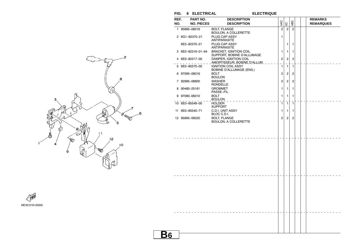$FIG. 6 ELECTRICAL$ 

**ELECTRIQUE** 





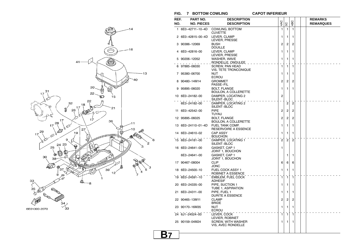**FIG. 7 BOTTOM COWLING CAPOT INFERIEUR**

**B7**

**CAPOT INFERIEUR** 



| REF.<br>NO. | <b>PART NO.</b><br><b>NO. PIECES</b> | <b>DESCRIPTION</b><br><b>DESCRIPTION</b>           | 4AC | 5C             | 4BC            |  | <b>REMARKS</b><br><b>REMARQUES</b> |
|-------------|--------------------------------------|----------------------------------------------------|-----|----------------|----------------|--|------------------------------------|
|             |                                      |                                                    |     |                |                |  |                                    |
|             | 1 6E0-42711-10-4D                    | COWLING, BOTTOM<br><b>CUVETTE</b>                  | 1   | 1              | $\mathbf{1}$   |  |                                    |
|             | 2 6E0-42815-00-4D                    | LEVER, CLAMP<br>LEVIER, PRESSE                     | 1   | 1              | 1              |  |                                    |
|             | 3 90386-12069                        | <b>BUSH</b><br><b>DOUILLE</b>                      | 2   | 2              | 2              |  |                                    |
|             | 4 6E0-42816-00                       | LEVER, CLAMP<br>LEVIER, PRESSE                     | 1   | 1              | 1              |  |                                    |
|             | 5 90206-12052                        | WASHER, WAVE<br>RONDELLE, ONDULEE                  | 1   | 1              | 1              |  |                                    |
|             | 97885-06030                          | <b>SCREW, PAN HEAD</b><br>VIS, TETE TRONCONIQUE    | 1   | 1              | 1              |  |                                    |
|             | 7 95380-06700                        | <b>NUT</b><br><b>ECROU</b>                         | 1   | 1              | 1              |  |                                    |
|             | 8 90480-14M14                        | <b>GROMMET</b><br>PASSE-FIL                        | 2   | 2              | 2              |  |                                    |
|             | 9 95895-06020                        | <b>BOLT, FLANGE</b><br><b>BOULON, A COLLERETTE</b> | 1   | 1              | 1              |  |                                    |
|             | 10 6E0-24182-00                      | DAMPER, LOCATING 2<br>SILENT-BLOC                  | 2   |                |                |  |                                    |
|             | 6E3-24182-00                         | DAMPER, LOCATING 2<br>SILENT-BLOC                  |     | $\overline{2}$ | $\overline{2}$ |  |                                    |
|             | 11 6E0-42542-00                      | <b>PIPE</b><br>TUYAU                               | 2   | 2              | 2              |  |                                    |
|             | 12 95895-06025                       | <b>BOLT, FLANGE</b><br>BOULON, A COLLERETTE        | 2   | 2              | 2              |  |                                    |
|             | 13 6E0-24110-01-4D                   | <b>FUEL TANK COMP.</b><br>RESERVOIRE A ESSENCE     | 1   | 1              | 1              |  |                                    |
|             | 14 6E0-24610-02                      | <b>CAP ASSY</b><br><b>BOUCHON</b>                  | 1   | 1              | 1              |  |                                    |
|             | 15 6E0-24181-00                      | DAMPER, LOCATING 1<br>SILENT-BLOC                  | 2   | $\overline{2}$ | $\overline{2}$ |  |                                    |
|             | 16 6E0-24641-00                      | GASKET, CAP 1<br>JOINT 1, BOUCHON                  | 1   |                |                |  |                                    |
|             | 6E3-24641-00                         | GASKET, CAP 1<br>JOINT 1, BOUCHON                  |     | 1              | 1              |  |                                    |
|             | 17 90467-08004                       | <b>CLIP</b><br>JONC                                | 6   | 6              | 6              |  |                                    |
|             | 18 6E0-24500-10                      | <b>FUEL COCK ASSY 1</b><br>ROBINET A ESSENCE       | 1   | 1              | 1              |  |                                    |
|             | 19 6E0-24591-10                      | EMBLEM, FUEL COCK<br>ADHESIF                       | 1   | $\mathbf{1}$   | 1              |  |                                    |
|             | 20 6E0-24335-00                      | PIPE, SUCTION 1<br>TUBE 1, ASPIRATION              | 1   | 1              | 1              |  |                                    |
|             | 21 6E0-24311-00                      | PIPE. FUEL 1<br><b>DURITE A ESSENCE</b>            | 1   | 1              | 1              |  |                                    |
|             | 22 90465-13M11                       | <b>CLAMP</b><br><b>BRIDE</b>                       | 2   | 2              | 2              |  |                                    |
|             | 23 90170-16M35                       | <b>NUT</b><br><b>ECROU</b>                         | 1   | 1              | 1              |  |                                    |
|             | 24 6J1-24524-00                      | LEVER, COCK<br>LEVIER, ROBINET                     | 1   | 1              | 1              |  |                                    |
|             | 25 90159-04M24                       | <b>SCREW, WITH WASHER</b><br>VIS, AVEC RONDELLE    | 1   | 1              | 1              |  |                                    |
|             |                                      |                                                    |     |                |                |  |                                    |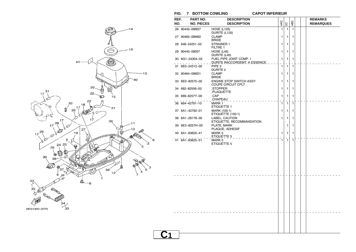**FIG. 7 BOTTOM COWLING CAPOT INFERIEUR**

**C1**

**CAPOT INFERIEUR** 



| REF.<br>NO. | PART NO.<br><b>NO. PIECES</b> | <b>DESCRIPTION</b><br><b>DESCRIPTION</b>                | 4AC          | SC | 4BC |  | <b>REMARKS</b><br><b>REMARQUES</b> |
|-------------|-------------------------------|---------------------------------------------------------|--------------|----|-----|--|------------------------------------|
|             | 26 90445-09M27                | <b>HOSE (L125)</b>                                      | 1            | 1  | 1   |  |                                    |
|             | 27 90465-08M62                | DURITE (L125)<br><b>CLAMP</b><br><b>BRIDE</b>           | 1            | 1  | 1   |  |                                    |
|             | 28 646-24251-02               | STRAINER 1<br>FILTRE 1                                  | 1            | 1  | 1   |  |                                    |
|             | 29 90445-09057                | HOSE (L45)<br>DURITE (L45)                              | 1            | 1  | 1   |  |                                    |
|             | 30 6G1-24304-02               | FUEL PIPE JOINT COMP. 1<br>DURITE RACCORDEMT. A ESSENCE | 1            | 1  | 1   |  |                                    |
|             | 31 6E0-24312-00               | PIPE <sub>2</sub><br>DURITE 2                           | ÷.<br>1      | 1  | 1   |  |                                    |
|             | 32 90464-09M21                | <b>CLAMP</b><br><b>BRIDE</b>                            | 1            | 1  | 1   |  |                                    |
|             | 33 6E0-82575-00               | ENGINE STOP SWITCH ASSY<br>COUPE CIRCUIT CPLT           | $\mathbf{1}$ | 1  | 1   |  |                                    |
|             | 34 682-82556-00               | .STOPPER<br>PLAQUETTE.                                  | $\mathbf{1}$ | 1  | 1   |  |                                    |
|             | 35 689-8257Y-00               | .CAP<br>CLAPEAU                                         | 1            | 1  | 1   |  |                                    |
|             | 36 664-42791-10               | MARK 1<br>ETIQUETTE 1                                   | $\mathbf{1}$ | 1  | 1   |  |                                    |
|             | 37 6A1-42792-01               | MARK (100:1)<br>ETIQUETTE (100:1)                       | 1            | 1  | 1   |  |                                    |
|             | 38 6A1-28176-00               | LABEL, CAUTION<br>ETIQUETTE, RECOMMANDATION             | 1            | 1  | 1   |  |                                    |
|             | 39 6E3-8257H-00               | PLATE, MARK<br>PLAQUE, ADHESIF                          |              | 1  | 1   |  |                                    |
|             | 40 6A1-83625-41               | MARK 5<br>ETIQUETTE 5                                   | 1            | 1  | 1   |  |                                    |
|             | 41 6A1-83625-51               | MARK 5<br>ETIQUETTE 5                                   | $\mathbf{1}$ | 1  | 1   |  |                                    |
|             |                               |                                                         |              |    |     |  |                                    |
|             |                               |                                                         |              |    |     |  |                                    |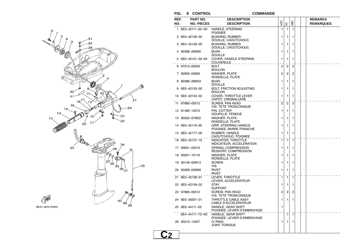

6E01300-2080

**FIG. 8 CONTROL COMMANDE**

**C2**

| REF. | PART NO.          | <b>DESCRIPTION</b>                                                                                                                                          |                |                |                |  | <b>REMARKS</b>   |
|------|-------------------|-------------------------------------------------------------------------------------------------------------------------------------------------------------|----------------|----------------|----------------|--|------------------|
| NO.  | <b>NO. PIECES</b> | <b>DESCRIPTION</b>                                                                                                                                          | 4AC            | 5C             | 4BC            |  | <b>REMARQUES</b> |
|      | 1 6E0-42111-02-4D | HANDLE, STEERING<br><b>POIGNEE</b>                                                                                                                          | 1              | 1              | 1              |  |                  |
|      | 2 6E0-42129-02    | <b>BUSHING, RUBBER</b><br>DOUILLE, CAOUTCHOUC                                                                                                               | 1              | 1              | 1              |  |                  |
|      | 3 6E4-42129-00    | <b>BUSHING, RUBBER</b><br>DOUILLE, CAOUTCHOUC                                                                                                               | 1              | 1              | 1              |  |                  |
|      | 4 90386-26M30     | <b>BUSH</b><br><b>DOUILLE</b>                                                                                                                               | 1              | 1              | 1              |  |                  |
|      | 5 6E0-42131-02-94 | COVER, HANDLE STEERING<br>COUVERCLE $\overline{a}$ $\overline{a}$ $\overline{a}$ $\overline{a}$ $\overline{a}$ $\overline{a}$ $\overline{a}$ $\overline{a}$ | 1              | 1              | 1              |  |                  |
|      | 6 97013-05020     | BOLT<br><b>BOULON</b>                                                                                                                                       | $\overline{c}$ | $\overline{c}$ | $\overline{2}$ |  |                  |
|      | 7 92903-05600     | <b>WASHER, PLATE</b><br>RONDELLE, PLATE                                                                                                                     | $\overline{2}$ | 2              | 2              |  |                  |
|      | 8 90386-26M33     | BUSH<br>DOUILLE                                                                                                                                             | 1              | 1              | 1              |  |                  |
|      | 9 6E0-42125-00    | <b>BOLT, FRICTION ADJUSTING</b><br><b>BOULON</b>                                                                                                            | 1              | 1              | 1              |  |                  |
|      | 10 6E0-42134-02   | COVER, THROTTLE LEVER<br>CAPOT, CREMAILLERE                                                                                                                 | $\mathbf{1}$   | 1              | 1              |  |                  |
|      | 11 97885-05012    | <b>SCREW. PAN HEAD</b><br>VIS, TETE TRONCONIQUE                                                                                                             | $\overline{c}$ | $\overline{2}$ | $\overline{2}$ |  |                  |
|      | 12 91490-12010    | PIN. COTTER<br><b>GOUPILLE, FENDUE</b>                                                                                                                      | 1              | 1              | 1              |  |                  |
|      | 13 90202-07M22    | <b>WASHER, PLATE</b><br>RONDELLE, PLATE                                                                                                                     | 1              | 1              | 1              |  |                  |
|      | 14 6E0-42119-00   | <b>GRIP, STEERING HANDLE</b><br>POIGNEE, BARRE FRANCHE                                                                                                      | 1              | 1              | 1              |  |                  |
|      | 15 6E0-42177-00   | RUBBER, HANDLE<br>CAOUTCHOUC, POIGNEE                                                                                                                       | 1              | 1              | 1              |  |                  |
|      | 16 6E0-42137-10   | <b>INDICATOR, THROTTLE</b><br>INDICATEUR, ACCELERATION                                                                                                      | 1              | $\mathbf{1}$   | $\mathbf{1}$   |  |                  |
|      | 17 90501-23215    | SPRING, COMPRESSION<br>RESSORT, COMPRESSION                                                                                                                 | 1              | 1              | 1              |  |                  |
|      | 18 90201-10119    | WASHER, PLATE<br>RONDELLE, PLATE                                                                                                                            | 1              | 1              | 1              |  |                  |
|      | 19 90149-05M13    | <b>SCREW</b><br>VIS                                                                                                                                         | 1              | 1              | 1              |  |                  |
|      | 20 90269-02M09    | <b>RIVET</b><br>RIVET                                                                                                                                       | 1              | 1              | 1              |  |                  |
|      | 21 6E0-42138-01   | LEVER, THROTTLE<br>LEVIER, ACCELERATEUR                                                                                                                     | $\mathbf{1}$   | $\mathbf{1}$   | 1              |  |                  |
|      | 22 6E0-42159-02   | <b>STAY</b><br><b>SUPPORT</b>                                                                                                                               | 1              | 1              | 1              |  |                  |
|      | 23 97885-05012    | <b>SCREW, PAN HEAD</b><br>VIS, TETE TRONCONIQUE                                                                                                             | 2              | 2              | 2              |  |                  |
|      | 24 6E0-26301-01   | THROTTLE CABLE ASSY<br>CABLE D'ACCELERATEUR                                                                                                                 | 1              | 1              | 1              |  |                  |
|      | 25 6E0-44111-02   | HANDLE, GEAR SHIFT<br>POIGNEE, LEVIER D'EMBRAYAGE                                                                                                           | 1              |                |                |  |                  |
|      | 6E4-44111-72-4D   | HANDLE, GEAR SHIFT<br>POIGNEE, LEVIER D'EMBRAYAGE                                                                                                           |                | $\mathbf{1}$   | $\mathbf{1}$   |  |                  |
|      | 26 93210-12327    | O-RING<br><b>JOINT TORIQUE</b>                                                                                                                              | 1              | 1              | 1              |  |                  |
|      |                   |                                                                                                                                                             |                |                |                |  |                  |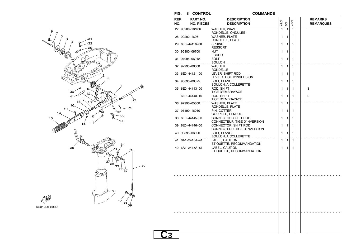

| REF.<br>NO. | PART NO.<br><b>NO. PIECES</b> | <b>DESCRIPTION</b><br><b>DESCRIPTION</b>             | 4AC          | SC | 4BC |  | <b>REMARKS</b><br><b>REMARQUES</b> |
|-------------|-------------------------------|------------------------------------------------------|--------------|----|-----|--|------------------------------------|
|             |                               |                                                      |              |    |     |  |                                    |
|             | 27 90206-16M06                | WASHER, WAVE<br>RONDELLE, ONDULEE                    | $\mathbf{1}$ | 1  | 1   |  |                                    |
|             | 28 90202-16061                | <b>WASHER, PLATE</b>                                 | 1            | 1  | 1   |  |                                    |
|             |                               | RONDELLE, PLATE                                      |              |    |     |  |                                    |
|             | 29 6E0-44116-00               | <b>SPRING</b><br><b>RESSORT</b>                      | 1            | 1  | 1   |  |                                    |
|             | 30 95380-06700                | NUT                                                  | 1            | 1  | 1   |  |                                    |
|             |                               | <b>ECROU</b>                                         |              |    |     |  |                                    |
|             | 31 97095-06012                | <b>BOLT</b><br><b>BOULON</b>                         | 1            | 1  | 1   |  |                                    |
|             | 32 92995-06600                | <b>WASHER</b><br>RONDELLE                            | 1            | 1  | 1   |  |                                    |
|             | 33 6E0-44121-00               | LEVER, SHIFT ROD<br>LEVIER, TIGE D'INVERSION         | 1            | 1  | 1   |  |                                    |
|             | 34 95895-06025                | <b>BOLT, FLANGE</b><br><b>BOULON, A COLLERETTE</b>   | 1            | 1  | 1   |  |                                    |
|             | 35 6E0-44143-00               | ROD, SHIFT<br>TIGE D'EMBRAYAGE                       | 1            | 1  | 1   |  | S                                  |
|             | 6E0-44143-10                  | ROD, SHIFT<br>TIGE D'EMBRAYAGE                       | 1            | 1  | 1   |  | L                                  |
|             | 36 92990-05600                | <b>WASHER, PLATE</b><br>RONDELLE, PLATE              | 1            | 1  | 1   |  |                                    |
|             | 37 91490-16010                | PIN, COTTER<br>GOUPILLE, FENDUE                      | 1            | 1  | 1   |  |                                    |
|             | 38 6E0-44145-00               | CONNECTOR, SHIFT ROD<br>CONNECTEUR, TIGE D'INVERSION | 1            | 1  | 1   |  |                                    |
|             | 39 6E0-44146-00               | CONNECTOR, SHIFT ROD<br>CONNECTEUR, TIGE D'INVERSION | 1            | 1  | 1   |  |                                    |
|             | 40 95895-06020                | <b>BOLT, FLANGE</b><br>BOULON, A COLLERETTE          | 1            | 1  | 1   |  |                                    |
|             | 41 6A1-2415A-41               | LABEL, CAUTION<br>ETIQUETTE, RECOMMANDATION          | 1            | 1  | 1   |  |                                    |
|             | 42 6A1-2415A-51               | LABEL, CAUTION<br>ETIQUETTE, RECOMMANDATION          | 1            | 1  | 1   |  |                                    |
|             |                               |                                                      |              |    |     |  |                                    |
|             |                               |                                                      |              |    |     |  |                                    |
|             |                               |                                                      |              |    |     |  |                                    |
|             |                               |                                                      |              |    |     |  |                                    |
|             |                               |                                                      |              |    |     |  |                                    |
|             |                               |                                                      |              |    |     |  |                                    |
|             |                               |                                                      |              |    |     |  |                                    |
|             |                               |                                                      |              |    |     |  |                                    |
|             |                               |                                                      |              |    |     |  |                                    |
|             |                               |                                                      |              |    |     |  |                                    |
|             |                               |                                                      |              |    |     |  |                                    |
|             |                               |                                                      |              |    |     |  |                                    |
|             |                               |                                                      |              |    |     |  |                                    |
|             |                               |                                                      |              |    |     |  |                                    |
|             |                               |                                                      |              |    |     |  |                                    |

## 6E01300-2080

 $FIG. 8$  **CONTROL** 

**C3**

## **COMMANDE**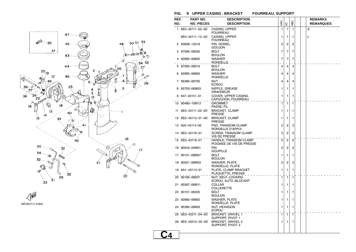



## **FIG. 9 UPPER CASING . BRACKET FOURREAU, SUPPORT**

| REF.<br>NO. | <b>PART NO.</b><br><b>NO. PIECES</b> | <b>DESCRIPTION</b><br><b>DESCRIPTION</b>          | 4AC            | SC             | 4BC            |  | <b>REMARKS</b><br><b>REMARQUES</b> |
|-------------|--------------------------------------|---------------------------------------------------|----------------|----------------|----------------|--|------------------------------------|
|             | 1 6E0-45111-02-4D                    | CASING, UPPER<br><b>FOURREAU</b>                  | 1              | 1              | $\mathbf{1}$   |  | S                                  |
|             | 6E0-45111-12-4D                      | CASING, UPPER<br><b>FOURREAU</b>                  | 1              | 1              | 1              |  | L                                  |
| 2           | 93606-12019                          | PIN, DOWEL<br>GOUJON                              | 2              | $\overline{2}$ | $\overline{2}$ |  |                                    |
|             | 3 97095-06030                        | <b>BOLT</b><br><b>BOULON</b>                      | 7              | 7              | 7              |  |                                    |
| 4           | 92995-06600                          | <b>WASHER</b><br>RONDELLE                         | 7              | $\overline{7}$ | 7              |  |                                    |
| 5           | 97095-06016                          | <b>BOLT</b><br><b>BOULON</b>                      | 4              | 4              | 4              |  |                                    |
| 6           | 92995-06600                          | <b>WASHER</b><br>RONDELLE                         | 4              | 4              | 4              |  |                                    |
|             | 7 95380-06700                        | NUT<br><b>ECROU</b>                               | 4              | 4              | 4              |  |                                    |
| 8           | 93700-06M03                          | NIPPLE, GREASE<br><b>GRAISSEUR</b>                | 1              | 1              | 1              |  |                                    |
| 9           | 647–45151–01                         | COVER, UPPER CASING<br>CAPUCHON, FOURREAU         | 1              | 1              | 1              |  |                                    |
|             | 10 90480-10M13                       | <b>GROMMET</b><br>PASSE-FIL                       | 1              | $\mathbf{1}$   | 1              |  |                                    |
|             | 11 6E0-43111-02-4D                   | <b>BRACKET, CLAMP</b><br>PRESSE                   | 1              | 1              | 1              |  |                                    |
|             | 12 6E0-43112-01-4D                   | <b>BRACKET, CLAMP</b><br><b>PRESSE</b>            | 1              | 1              | 1              |  |                                    |
|             | 13 620-43114-00                      | PAD, TRANSOM CLAMP<br>RONDELLE D'APPUI            | 2              | 2              | $\overline{c}$ |  |                                    |
|             | 14 6E0-43116-01                      | SCREW, TRANSOM CLAMP<br>VIS DE PRESSE             | 2              | 2              | $\overline{c}$ |  |                                    |
|             | 15 6E0-43118-01                      | HANDLE, TRANSOM CLAMP<br>POIGNEE DE VIS DE PRESSE | $\overline{c}$ | $\overline{2}$ | $\overline{2}$ |  |                                    |
|             | 16 90243-04M01                       | <b>PIN</b><br><b>GOUPILLE</b>                     | 2              | 2              | 2              |  |                                    |
|             | 17 90101-08M07                       | <b>BOLT</b><br><b>BOULON</b>                      | 1              | 1              | 1              |  |                                    |
|             | 18 90201-08M03                       | <b>WASHER, PLATE</b><br>RONDELLE, PLATE           | $\overline{c}$ | 2              | $\overline{c}$ |  |                                    |
|             | 19 6A1-43113-01                      | PLATE, CLAMP BRACKET<br>PLAQUETTE, PRESSE         | 1              | 1              | 1              |  |                                    |
|             | 20 90185-08057                       | NUT, SELF-LOCKING<br>ECROU, AUTO-BLOCANT          | 1              | 1              | $\mathbf{1}$   |  |                                    |
|             | 21 90387-06M11                       | <b>COLLAR</b><br><b>COLLERETTE</b>                | 1              | 1              | 1              |  |                                    |
|             | 22 90101-06335                       | BOLT<br><b>BOULON</b>                             | 1              | 1              | 1              |  |                                    |
|             | 23 92990-06600                       | WASHER, PLATE<br>RONDELLE, PLATE                  | 1              | 1              | 1              |  |                                    |
|             | 24 95380-06600                       | NUT. HEXAGON<br><b>ECROU</b>                      | 1              | 1              | 1              |  |                                    |
|             | 25 6E0-43311-04-4D                   | <b>BRACKET, SWIVEL 1</b><br>SUPPORT, PIVOT 1      | 1              | 1              | 1              |  |                                    |
|             | 26 6E0-43312-02-4D                   | <b>BRACKET, SWIVEL 2</b><br>SUPPORT, PIVOT 2      | 1              | 1              | 1              |  |                                    |
|             |                                      |                                                   |                |                |                |  |                                    |

**C4**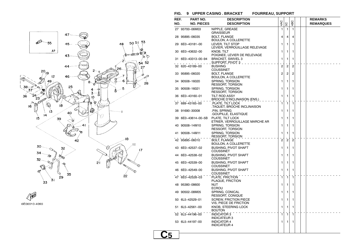

 $\begin{picture}(220,20) \put(0,0){\line(1,0){10}} \put(15,0){\line(1,0){10}} \put(15,0){\line(1,0){10}} \put(15,0){\line(1,0){10}} \put(15,0){\line(1,0){10}} \put(15,0){\line(1,0){10}} \put(15,0){\line(1,0){10}} \put(15,0){\line(1,0){10}} \put(15,0){\line(1,0){10}} \put(15,0){\line(1,0){10}} \put(15,0){\line(1,0){10}} \put(15,0){\line($ 6E00010-4090

## **FIG. 9 UPPER CASING . BRACKET FOURREAU, SUPPORT**

| REF. | PART NO.           | <b>DESCRIPTION</b>                                     |                |                |                |  | <b>REMARKS</b>   |  |
|------|--------------------|--------------------------------------------------------|----------------|----------------|----------------|--|------------------|--|
| NO.  | <b>NO. PIECES</b>  | <b>DESCRIPTION</b>                                     | 4AC            | SC             | 4BC            |  | <b>REMARQUES</b> |  |
|      | 27 93700-06M03     | NIPPLE, GREASE<br><b>GRAISSEUR</b>                     | $\mathbf{1}$   | 1              | 1              |  |                  |  |
|      | 28 95895-06035     | <b>BOLT, FLANGE</b><br>BOULON, A COLLERETTE            | $\overline{4}$ | $\overline{4}$ | 4              |  |                  |  |
|      | 29 6E0-43181-00    | LEVER, TILT STOP<br>LEVIER, VERROUILLAGE RELEVAGE      | 1              | 1              | 1              |  |                  |  |
|      | 30 6E0-43632-00    | <b>KNOB. TILT</b><br>POIGNEE, LEVIER DE RELEVAGE       | 1              | 1              | 1              |  |                  |  |
|      | 31 6E0-43313-00-94 | <b>BRACKET, SWIVEL 3</b><br>support, pivot 3 _ _ _ _   | 1              | 1              | 1              |  |                  |  |
|      | 32 620-43189-00    | <b>BUSHING</b><br><b>COUSSINET</b>                     | 2              | 2              | 2              |  |                  |  |
|      | 33 95895-06020     | <b>BOLT, FLANGE</b><br>BOULON, A COLLERETTE            | $\overline{c}$ | 2              | 2              |  |                  |  |
|      | 34 90508-16020     | SPRING, TORSION<br>RESSORT, TORSION                    | 1              | 1              | 1              |  |                  |  |
|      | 35 90508-16021     | SPRING. TORSION<br><b>RESSORT, TORSION</b>             | 1              | 1              | 1              |  |                  |  |
|      | 36 6E0-43160-01    | <b>TILT ROD ASSY</b><br>BROCHE D'INCLINAISON (ENS.)    | 1              | 1              | 1              |  |                  |  |
|      | 37 689-43165-00    | PLATE, TILT LOCK<br>TAQUET, BROCHE INCLINAISON         | $\mathbf{1}$   | $\mathbf{1}$   | 1              |  |                  |  |
|      | 38 91690-30008     | .PIN, SPRING<br>.GOUPILLE, ELASTIQUE                   | 1              | 1              | 1              |  |                  |  |
|      | 39 6E0-43614-00-5B | PLATE, TILT LOCK<br>ETRIER, VERROUILLAGE MARCHE AR     | 1              | 1              | 1              |  |                  |  |
|      | 40 90508-14M10     | SPRING, TORSION<br>RESSORT, TORSION                    | 1              | 1              | 1              |  |                  |  |
|      | 41 90508-14M11     | <b>SPRING, TORSION</b><br>RESSORT, TORSION             | 1              | 1              | 1              |  |                  |  |
|      | 42 95895-06010     | <b>BOLT, FLANGE</b><br><b>BOULON, A COLLERETTE</b>     | $\overline{c}$ | $\overline{2}$ | $\overline{2}$ |  |                  |  |
|      | 43 6E0-42537-02    | <b>BUSHING, PIVOT SHAFT</b><br><b>COUSSINET</b>        | 1              | 1              | 1              |  |                  |  |
|      | 44 6E0-42538-02    | <b>BUSHING, PIVOT SHAFT</b><br><b>COUSSINET</b>        | 1              | 1              | 1              |  |                  |  |
|      | 45 6E0-42539-00    | <b>BUSHING, PIVOT SHAFT</b><br><b>COUSSINET</b>        | 1              | 1              | 1              |  |                  |  |
|      | 46 6E0-42549-00    | <b>BUSHING, PIVOT SHAFT</b><br><b>COUSSINET</b>        | 1              | 1              | 1              |  |                  |  |
|      | 47 6E0-42528-03    | PLATE, FRICTION<br>PLAQUE, FRICTION                    | $\mathbf{1}$   | $\mathbf{1}$   | 1              |  |                  |  |
|      | 48 95380-08600     | NUT<br><b>ECROU</b>                                    | $\mathbf{1}$   | 1              | 1              |  |                  |  |
|      | 49 90502-08M05     | SPRING, CONICAL<br><b>RESSORT, CONIQUE</b>             | 1              | 1              | 1              |  |                  |  |
|      | 50 6L5-42529-01    | <b>SCREW, FRICTION PIECE</b><br>VIS, PIECE DE FRICTION | 1              | 1              | 1              |  |                  |  |
|      | 51 6L5-42561-00    | KNOB, STEERING LOCK<br><b>BOUTON</b>                   | 1              | 1              | 1              |  |                  |  |
|      | 52 6L5-44196-00    | <b>INDICATOR 3</b><br><b>INDICATEUR 3</b>              | $\mathbf{1}$   | $\mathbf{1}$   | 1              |  |                  |  |
|      | 53 6L5-44197-00    | <b>INDICATOR 4</b><br><b>INDICATEUR 4</b>              | 1              | 1              | 1              |  |                  |  |
|      |                    |                                                        |                |                |                |  |                  |  |

**C5**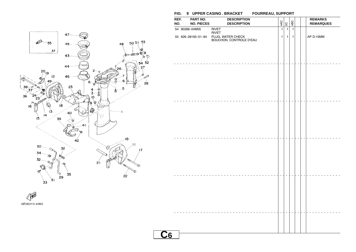

# **C6**54 90266−04M05 RIVET 1 1 1RIVET 55 626−28193−01−94 PLUG, WATER CHECK 1 1 1 AP D:15MM BOUCHON, CONTROLE D'EAU **REF. PART NO. DESCRIPTION REMARKSREMARQUES NO. NO. PIECES DESCRIPTION**  $\frac{Q}{4} \begin{bmatrix} Q \\ Q \end{bmatrix}$   $\frac{Q}{4}$   $\begin{bmatrix}$  REMARQUE

**FIG. 9 UPPER CASING . BRACKET FOURREAU, SUPPORT**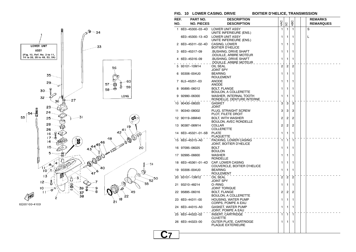



**FIG. 10 LOWER CASING. DRIVE BOITIER D'HELICE, TRANSMISSION**

**C7**

| REF. | PART NO.           | <b>DESCRIPTION</b>                                  |                |                |                |  | <b>REMARKS</b>   |
|------|--------------------|-----------------------------------------------------|----------------|----------------|----------------|--|------------------|
| NO.  | <b>NO. PIECES</b>  | <b>DESCRIPTION</b>                                  | 4AC            | 5C             | 4BC            |  | <b>REMARQUES</b> |
|      | 1 6E0-45300-03-4D  | <b>LOWER UNIT ASSY</b><br>UNITE INFERIEURE (ENS.)   | 1              | 1              | 1              |  | S                |
|      | 6E0-45300-13-4D    | <b>LOWER UNIT ASSY</b><br>UNITE INFERIEURE (ENS.)   | 1              | 1              | 1              |  | L                |
| 2    | 6E0-45311-02-4D    | CASING, LOWER<br>BOITIER D'HELICE                   | 1              | 1              | 1              |  |                  |
| з    | 6E0-45317-09       | BUSHING, DRIVE SHAFT.<br>DOUILLE, ARBRE MOTEUR      | 1              | 1              | 1              |  |                  |
|      | 6E0-45316-09       | BUSHING, DRIVE SHAFT.<br>.DOUILLE, ARBRE MOTEUR     | 1              | 1              | 1              |  |                  |
|      | 93101-10M14        | OIL SEAL<br>JOINT SPY                               | $\overline{2}$ | $\overline{c}$ | $\overline{2}$ |  |                  |
| 6    | 93306-004U0        | <b>BEARING</b><br>ROULEMENT                         | 1              | 1              | 1              |  |                  |
|      | 7 6L5-45251-03     | ANODE<br><b>ANODE</b>                               | 1              | 1              | 1              |  |                  |
| 8    | 95895-06012        | BOLT, FLANGE<br>BOULON, A COLLERETTE                | 1              | 1              | 1              |  |                  |
| 9    | 92990-06300        | WASHER, INTERNAL TOOTH<br>RONDELLE, DENTURE INTERNE | 1              | 1              | 1              |  |                  |
|      | 10 90430-08020     | GASKET<br>JOINT                                     | 3              | 3              | 3              |  |                  |
|      | 11 90340-08002     | PLUG, STRAIGHT SCREW<br>PLOT, FILETE DROIT          | 3              | 3              | 3              |  |                  |
|      | 12 90119-06M40     | BOLT, WITH WASHER<br>BOULON, AVEC RONDELLE          | 2              | 2              | 2              |  |                  |
|      | 13 90387-06M14     | <b>COLLAR</b><br><b>COLLERETTE</b>                  | $\overline{2}$ | 2              | $\overline{2}$ |  |                  |
|      | 14 6E0-45321-01-5B | <b>PLATE</b><br>PLAQUETTE                           | 1              | 1              | 1              |  |                  |
|      | 15 6E0-45315-A0    | PACKING, LOWER CASING<br>JOINT, BOITIER D'HELICE    | 1              | 1              | 1              |  |                  |
|      | 16 97095-06025     | BOLT<br>BOULON                                      | 1              | 1              | 1              |  |                  |
|      | 17 92995-06600     | WASHER<br>RONDELLE                                  | 1              | 1              | 1              |  |                  |
|      | 18 6E0-45361-01-4D | CAP, LOWER CASING<br>COUVERCLE, BOITIER D'HELICE    | 1              | 1              | 1              |  |                  |
|      | 19 93306-004U0     | <b>BEARING</b><br>ROULEMENT                         | 1              | 1              | 1              |  |                  |
|      | 20 93101-13M12     | OIL SEAL<br>JOINT SPY                               | $\overline{2}$ | $\overline{c}$ | $\overline{2}$ |  |                  |
|      | 21 93210-48214     | O-RING<br>JOINT TORIQUE                             | 1              | 1              | 1              |  |                  |
|      | 22 95895-06016     | <b>BOLT, FLANGE</b><br>BOULON, A COLLERETTE         | 2              | 2              | 2              |  |                  |
|      | 23 6E0-44311-00    | <b>HOUSING, WATER PUMP</b><br>CORPS, POMPE A EAU    | 1              | 1              | 1              |  |                  |
|      | 24 6E0-44315-A0    | GASKET, WATER PUMP<br>JOINT, POMPE A EAU            | 1              | 1              | 1              |  |                  |
|      | 25 6E0-44322-02    | <b>INSERT, CARTRIDGE</b><br>CUVETTE                 | $\mathbf{1}$   | $\mathbf{1}$   | 1              |  |                  |
|      | 26 6E0-44323-00    | OUTER PLATE, CARTRIDGE<br><b>PLAQUE EXTERIEURE</b>  | 1              | 1              | 1              |  |                  |
|      |                    |                                                     |                |                |                |  |                  |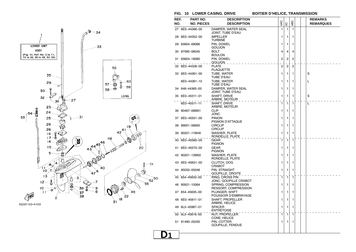



**FIG. 10 LOWER CASING. DRIVE BOITIER D'HELICE, TRANSMISSION**

**D1**

| REF. | <b>PART NO.</b>   | <b>DESCRIPTION</b>                          | 4AC            |                | 4BC |  | <b>REMARKS</b>   |
|------|-------------------|---------------------------------------------|----------------|----------------|-----|--|------------------|
| NO.  | <b>NO. PIECES</b> | <b>DESCRIPTION</b>                          |                | SC             |     |  | <b>REMARQUES</b> |
|      | 27 6E0-44366-00   | DAMPER, WATER SEAL<br>JOINT, TUBE D'EAU     | 1              | $\mathbf{1}$   | 1   |  |                  |
|      | 28 6E0-44352-00   | <b>IMPELLER</b><br>TURBINE                  | 1              | 1              | 1   |  |                  |
|      | 29 93604-09066    | PIN, DOWEL<br>GOUJON                        | 1              | 1              | 1   |  |                  |
|      | 30 97095-06045    | <b>BOLT</b><br><b>BOULON</b>                | $\overline{4}$ | 4              | 4   |  |                  |
|      | 31 93604-18080    | PIN, DOWEL                                  | 2              | 2              | 2   |  |                  |
|      | 32 6E0-44328-00   | <b>GONJON</b><br>PLATE                      | $\overline{c}$ | $\overline{c}$ | 2   |  |                  |
|      | 33 6E0-44361-00   | <b>PLAQUETTE</b><br>TUBE, WATER             | 1              | 1              | 1   |  | S                |
|      |                   | TUBE D'EAU                                  |                |                |     |  |                  |
|      | 6E0-44361-10      | TUBE, WATER<br>TUBE D'EAU                   | 1              | 1              | 1   |  | L                |
|      | 34 646-44365-00   | DAMPER, WATER SEAL<br>JOINT, TUBE D'EAU     | 1              | 1              | 1   |  |                  |
|      | 35 6E0-45511-01   | SHAFT, DRIVE<br>ARBRE, MOTEUR               | 1              | 1              | 1   |  | S                |
|      | 6E0-45511-11      | SHAFT, DRIVE<br>ARBRE, MOTEUR               | 1              | 1              | 1   |  | L                |
|      | 36 90467-08M01    | <b>CLIP</b><br>JONC                         | 1              | 1              | 1   |  |                  |
|      | 37 6E0-45551-00   | <b>PINION</b><br>PIGNON D'ATTAQUE           | 1              | 1              | 1   |  |                  |
|      | 38 99001-06600    | <b>CIRCLIP</b><br><b>CIRCLIP</b>            | 1              | 1              | 1   |  |                  |
|      | 39 90201-11M49    | <b>WASHER, PLATE</b><br>RONDELLE, PLATE     | 1              | 1              | 1   |  |                  |
|      | 40 6E0-45560-00   | GEAR<br><b>PIGNON</b>                       | $\mathbf{1}$   | $\mathbf{1}$   | 1   |  |                  |
|      | 41 6E0-45570-00   | GEAR<br><b>PIGNON</b>                       | 1              | 1              | 1   |  |                  |
|      | 42 90201-13M50    | <b>WASHER, PLATE</b><br>RONDELLE, PLATE     | 1              | 1              | 1   |  |                  |
|      | 43 6E0-45631-00   | CLUTCH, DOG<br>CRABOT                       | 1              | 1              | 1   |  |                  |
|      | 44 90250-05046    | PIN. STRAIGHT<br><b>GOUPILLE, DROITE</b>    | 1              | 1              | 1   |  |                  |
|      | 45 654-45633-00   | RING, CROSS PIN<br>JONC, GOUPILLE CRABOT    | 1              | $\mathbf{1}$   | 1   |  |                  |
|      | 46 90501-10064    | SPRING, COMPRESSION<br>RESSORT, COMPRESSION | 1              | 1              | 1   |  |                  |
|      | 47 654-45635-00   | PLUNGER, SHIFT<br>POUSSOIR D'EMBRAYAGE      | 1              | 1              | 1   |  |                  |
|      | 48 6E0-45611-01   | SHAFT, PROPELLER<br>ARBRE, HELICE           | 1              | 1              | 1   |  |                  |
|      | 49 6L5-45987-01   | <b>SPACER</b><br><b>ENTRETOISE</b>          | 1              | 1              | 1   |  |                  |
|      | 50 6L5-45616-00   | NUT, PROPELLER<br>CONE, HELICE              | 1              | $\mathbf{1}$   | 1   |  |                  |
|      | 51 91490-25030    | PIN. COTTER<br><b>GOUPILLE, FENDUE</b>      | 1              | 1              | 1   |  |                  |
|      |                   |                                             |                |                |     |  |                  |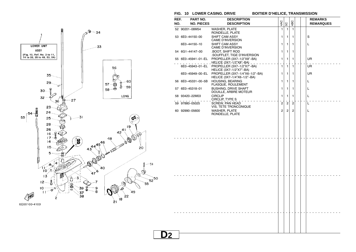

## **FIG. 10 LOWER CASING. DRIVE BOITIER D'HELICE, TRANSMISSION**

**D2**

| REF.<br>NO. | PART NO.<br><b>NO. PIECES</b>   | <b>DESCRIPTION</b><br><b>DESCRIPTION</b>                           | 4AC                           | 5C                | 4BC            |  | <b>REMARKS</b><br><b>REMARQUES</b> |
|-------------|---------------------------------|--------------------------------------------------------------------|-------------------------------|-------------------|----------------|--|------------------------------------|
|             | 52 90201-08M54                  | <b>WASHER, PLATE</b><br>RONDELLE, PLATE                            | $\mathbf{1}$                  | $\mathbf{1}$      | $\mathbf{1}$   |  |                                    |
|             | 53 6E0-44150-00                 | SHIFT CAM ASSY<br><b>CAME D'INVERSION</b>                          | 1                             | 1                 | 1              |  | S                                  |
|             | 6E0-44150-10                    | SHIFT CAM ASSY<br><b>CAME D'INVERSION</b>                          | 1                             | 1                 | 1              |  | L                                  |
|             | 54 6G1-44147-00                 | <b>.BOOT, SHIFT ROD</b><br>.SOUFFLET, TIGE D'INVERSION             | 1                             | 1                 | 1              |  |                                    |
|             | 55 6E0-45941-01-EL              | PROPELLER (3X7-1/2"X8"-BA)<br><u>_ HELICE (3X7-1/2"X8"-BA)</u> _ _ | $\mathbf{1}$                  | 1                 | 1              |  | UR                                 |
|             | $-1 - 1 - 1$<br>6E0-45943-01-EL | PROPELLER (3X7-1/2"X7"-BA)<br>HELICE (3X7-1/2"X7"-BA)              | $\overline{\phantom{a}}$<br>1 | ÷<br>$\mathbf{1}$ | 1              |  | UR.                                |
|             | 6E0-45949-00-EL                 | PROPELLER (3X7-1/4"X6-1/2"-BA)<br>HELICE (3X7-1/4"X6-1/2"-BA)      | 1                             | 1                 | 1              |  | UR                                 |
|             | 56 6E0-45331-00-5B              | <b>HOUSING, BEARING</b>                                            | 1                             | 1                 | 1              |  | L                                  |
|             | 57 6E0-45318-01                 | FLASQUE, ROULEMENT<br><b>BUSHING, DRIVE SHAFT</b>                  | 1                             | 1                 | 1              |  | L                                  |
|             | 58 93420-22M03                  | DOUILLE, ARBRE MOTEUR<br><b>CIRCLIP</b>                            | 1                             | 1                 | 1              |  | L                                  |
|             | 59 97880-05025                  | CIRCLIP, TYPE S<br><b>SCREW, PAN HEAD</b>                          | $\overline{2}$                | $\overline{c}$    | $\overline{c}$ |  | L                                  |
|             | 60 92990-05600                  | VIS, TETE TRONCONIQUE<br><b>WASHER, PLATE</b>                      | $\overline{2}$                | $\overline{2}$    | $\overline{2}$ |  | L                                  |
|             |                                 | RONDELLE, PLATE                                                    |                               |                   |                |  |                                    |
|             |                                 |                                                                    |                               |                   |                |  |                                    |
|             |                                 |                                                                    |                               |                   |                |  |                                    |
|             |                                 |                                                                    |                               |                   |                |  |                                    |
|             |                                 |                                                                    |                               |                   |                |  |                                    |
|             |                                 |                                                                    |                               |                   |                |  |                                    |
|             |                                 |                                                                    |                               |                   |                |  |                                    |
|             |                                 |                                                                    |                               |                   |                |  |                                    |
|             |                                 |                                                                    |                               |                   |                |  |                                    |
|             |                                 |                                                                    |                               |                   |                |  |                                    |
|             |                                 |                                                                    |                               |                   |                |  |                                    |
|             |                                 |                                                                    |                               |                   |                |  |                                    |
|             |                                 |                                                                    |                               |                   |                |  |                                    |
|             |                                 |                                                                    |                               |                   |                |  |                                    |
|             |                                 |                                                                    |                               |                   |                |  |                                    |
|             |                                 |                                                                    |                               |                   |                |  |                                    |
|             |                                 |                                                                    |                               |                   |                |  |                                    |
|             |                                 |                                                                    |                               |                   |                |  |                                    |
|             |                                 |                                                                    |                               |                   |                |  |                                    |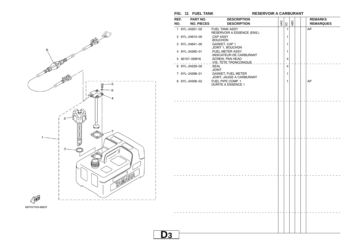**FIG. 11 FUEL TANK RESERVOIR A CARBURANT**



| REF.<br>NO. | PART NO.<br><b>NO. PIECES</b> | <b>DESCRIPTION</b><br><b>DESCRIPTION</b>                           | 4AC | 50                                         | 4BC | <b>REMARKS</b><br><b>REMARQUES</b> |
|-------------|-------------------------------|--------------------------------------------------------------------|-----|--------------------------------------------|-----|------------------------------------|
|             | 1 6YL-24201-02                | <b>FUEL TANK ASSY</b><br>RESERVOIR A ESSENCE (ENS.)                |     | 1                                          |     | AP                                 |
|             | 2 6YL-24610-00                | .CAP ASSY<br>BOUCHON.                                              |     | 1                                          |     |                                    |
|             | 3 6YL-24641-00                | .GASKET, CAP 1<br>.JOINT 1, BOUCHON                                |     | 1                                          |     |                                    |
|             | 4 6YL-24260-01                | .FUEL METER ASSY<br>INDICATEUR DE CARBURANT                        |     | 1                                          |     |                                    |
|             | 5 90157-05M16                 | .SCREW, PAN HEAD<br>_ .VIS, TETE TRONCONIQUE _ _<br><b>College</b> |     | 4                                          |     |                                    |
|             | 6 6YL-24329-00                | .SEAL<br><b>JOINT</b>                                              |     | $\overline{\phantom{a}}$<br>$\overline{4}$ |     |                                    |
|             | 7 6YL-24268-01                | .GASKET, FUEL METER<br>JOINT, JAUGE A CARBURANT                    |     | 1                                          |     |                                    |
|             | 8 6YL-24306-52                | FUEL PIPE COMP. 1<br><b>DURITE A ESSENCE 1</b>                     |     | 1                                          |     | AP                                 |
|             |                               | .                                                                  |     |                                            |     |                                    |
|             |                               |                                                                    |     |                                            |     |                                    |
|             |                               |                                                                    |     |                                            |     |                                    |
|             |                               |                                                                    |     |                                            |     |                                    |
|             |                               |                                                                    |     |                                            |     |                                    |
|             |                               |                                                                    |     |                                            |     |                                    |
|             |                               |                                                                    |     |                                            |     |                                    |
|             |                               |                                                                    |     |                                            |     |                                    |
|             |                               |                                                                    |     |                                            |     |                                    |
|             |                               |                                                                    |     |                                            |     |                                    |
|             |                               |                                                                    |     |                                            |     |                                    |
|             |                               |                                                                    |     |                                            |     |                                    |
|             |                               |                                                                    |     |                                            |     |                                    |
|             |                               |                                                                    |     |                                            |     |                                    |
|             |                               |                                                                    |     |                                            |     |                                    |
|             |                               |                                                                    |     |                                            |     |                                    |
|             |                               |                                                                    |     |                                            |     |                                    |
|             |                               |                                                                    |     |                                            |     |                                    |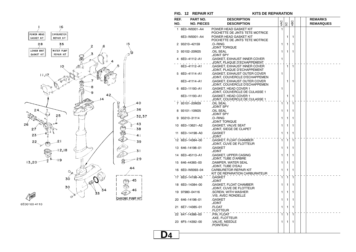![](_page_24_Figure_0.jpeg)

![](_page_24_Figure_1.jpeg)

**FIG. 12 REPAIR KIT KITS DE REPARATION**

| REF. | PART NO.          | <b>DESCRIPTION</b>                                                  |              |              |              |  |  | <b>REMARKS</b>   |  |  |
|------|-------------------|---------------------------------------------------------------------|--------------|--------------|--------------|--|--|------------------|--|--|
| NO.  | <b>NO. PIECES</b> | <b>DESCRIPTION</b>                                                  | 4AC          | SC           | 1BC          |  |  | <b>REMARQUES</b> |  |  |
|      | 1 6E0-W0001-A4    | POWER HEAD GASKET KIT<br>POCHETTE DE JINTS TETE MOTRICE             | 1            |              |              |  |  |                  |  |  |
|      | 6E3-W0001-A4      | POWER HEAD GASKET KIT<br>POCHETTE DE JINTS TETE MOTRICE             |              | 1            | 1            |  |  |                  |  |  |
|      | 2 93210-42159     | .O-RING<br>JOINT TORIQUE                                            | 1            | 1            | 1            |  |  |                  |  |  |
|      | 3 93102-20M25     | <b>OIL SEAL</b><br><b>JOINT SPY</b>                                 | 1            | 1            | 1            |  |  |                  |  |  |
|      | 4 6E0-41112-A1    | .GASKET, EXHAUST INNER COVER<br><u>.JOINT, PLAQUE D'ECHAPPEMENT</u> | 1            |              |              |  |  |                  |  |  |
|      | 6E3-41112-A1      | .GASKET, EXHAUST INNER COVER<br>JOINT, PLAQUE D'ECHAPPEMENT         |              | $\mathbf{1}$ | $\mathbf{1}$ |  |  |                  |  |  |
|      | 5 6E0-41114-A1    | .GASKET, EXHAUST OUTER COVER<br>.JOINT, COUVERCLE D'ECHAPPEMEN      | 1            |              |              |  |  |                  |  |  |
|      | 6E3-41114-A1      | .GASKET, EXHAUST OUTER COVER<br>JOINT, COUVERCLE D'ECHAPPEMEN       |              | 1            | 1            |  |  |                  |  |  |
|      | 6 6E0-11193-A1    | .GASKET, HEAD COVER 1<br>.JOINT, COUVERCLE DE CULASSE 1             | 1            |              |              |  |  |                  |  |  |
|      | 6E3-11193-A1      | .GASKET, HEAD COVER 1<br>JOINT, COUVERCLE DE CULASSE 1              |              | 1            | 1            |  |  |                  |  |  |
|      | 7 93101-20M29     | OIL SEAL<br><b>JOINT SPY</b>                                        | $\mathbf{1}$ | $\mathbf{1}$ | 1            |  |  |                  |  |  |
|      | 8 93101-10M25     | OIL SEAL<br><b>JOINT SPY</b>                                        | 1            | 1            | 1            |  |  |                  |  |  |
|      | 9 93210-31114     | .O-RING<br>JOINT TORIQUE                                            | 1            | 1            | 1            |  |  |                  |  |  |
|      | 10 6E0-13621-A2   | .GASKET, VALVE SEAT<br>JOINT, SIEGE DE CLAPET                       | 1            | 1            | 1            |  |  |                  |  |  |
| 11   | 6E0-14198-A0      | .GASKET<br>TNIOL.                                                   | 1            | 1            | 1            |  |  |                  |  |  |
|      | 12 6E0-14384-00   | .GASKET, FLOAT CHAMBER<br>JOINT, CUVE DE FLOTTEUR                   | 1            | 1            | 1            |  |  |                  |  |  |
|      | 13 646-14198-01   | .GASKET<br><b>JOINT</b>                                             | 1            | 1            | 1            |  |  |                  |  |  |
|      | 14 6E0-45113-A1   | .GASKET, UPPER CASING<br>JOINT, TUBE D'ARBRE                        | 1            | 1            | 1            |  |  |                  |  |  |
|      | 15 646-44365-00   | DAMPER, WATER SEAL<br>JOINT, TUBE D'EAU                             | 1            | 1            | 1            |  |  |                  |  |  |
|      | 16 6E0-W0093-04   | <b>CARBURETOR REPAIR KIT</b><br>KIT DE REPARATION CARBURATEUR       | 1            | 1            | 1            |  |  |                  |  |  |
|      | 17 6E0-14198-A0   | .GASKET<br><b>JOINT</b>                                             | 1            | $\mathbf{1}$ | 1            |  |  |                  |  |  |
|      | 18 6E0-14384-00   | .GASKET, FLOAT CHAMBER<br>JOINT, CUVE DE FLOTTEUR.                  | 1            | 1            | 1            |  |  |                  |  |  |
|      | 19 97980-04116    | .SCREW, WITH WASHER<br>.VIS, AVEC RONDELLE                          | 1            | 1            | 1            |  |  |                  |  |  |
|      | 20 646-14198-01   | .GASKET<br>JOINT                                                    | 1            | 1            | 1            |  |  |                  |  |  |
|      | 21 6E7-14385-01   | .FLOAT<br>.FLOTTEUR                                                 | 1            | 1            | 1            |  |  |                  |  |  |
|      | 22 647-14386-00   | .PIN, FLOAT<br>.AXE, FLOTTEUR                                       | 1            | $\mathbf{1}$ | 1            |  |  |                  |  |  |
|      | 23 6F5-14392-00   | .VALVE, NEEDLE<br>.POINTEAU                                         | 1            | 1            | 1            |  |  |                  |  |  |
|      |                   |                                                                     |              |              |              |  |  |                  |  |  |

**D4**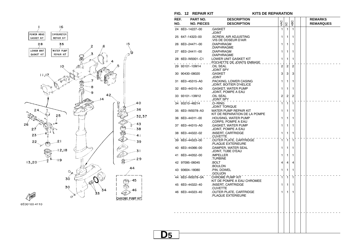![](_page_25_Figure_0.jpeg)

## **FIG. 12 REPAIR KIT KITS DE REPARATION**

| REF.<br>NO. | <b>PART NO.</b><br><b>NO. PIECES</b> | <b>DESCRIPTION</b><br><b>DESCRIPTION</b>                          | 4AC            | SC             | 4BC            |  | <b>REMARKS</b><br><b>REMARQUES</b> |
|-------------|--------------------------------------|-------------------------------------------------------------------|----------------|----------------|----------------|--|------------------------------------|
|             | 24 6E0-14227-00                      | .GASKET<br><b>JOINT</b>                                           | 1              | 1              | $\mathbf{1}$   |  |                                    |
|             | 25 647-14323-00                      | .SCREW, AIR ADJUSTING                                             | 1              | 1              | 1              |  |                                    |
|             | 26 6E0-24471-00                      | .VIS DE DOSEUR D'AIR<br>.DIAPHRAGM                                | 1              | 1              | 1              |  |                                    |
|             | 27 6E0-24411-00                      | .DIAPHRAGME<br>.DIAPHRAGM                                         | 1              | 1              | 1              |  |                                    |
|             | 28 6E0-W0001-C1                      | .DIAPHRAGME<br>LOWER UNIT GASKET KIT<br>POCHETTE DE JOINTS EMBASE | 1              | 1              | 1              |  |                                    |
|             | 29 93101-10M14                       | <b>OIL SEAL</b><br><b>JOINT SPY</b>                               | $\overline{2}$ | $\overline{2}$ | $\overline{2}$ |  |                                    |
|             | 30 90430-08020                       | .GASKET<br>.JOINT                                                 | 3              | 3              | 3              |  |                                    |
|             | 31 6E0-45315-A0                      | .PACKING, LOWER CASING<br>JOINT, BOITIER D'HELICE                 | 1              | 1              | 1              |  |                                    |
|             | 32 6E0-44315-A0                      | .GASKET, WATER PUMP<br>JOINT, POMPE A EAU                         | 1              | 1              | 1              |  |                                    |
|             | 33 93101-13M12                       | OIL SEAL<br>JOINT SPY                                             | $\overline{2}$ | $\overline{2}$ | $\overline{2}$ |  |                                    |
|             | 34 93210-48214                       | .O-RING<br>JOINT TORIQUE                                          | 1              | $\mathbf{1}$   | 1              |  |                                    |
|             | 35 6E0-W0078-A3                      | WATER PUMP REPAIR KIT<br>KIT DE REPARATION DE LA POMPE            | 1              | 1              | 1              |  |                                    |
|             | 36 6E0-44311-00                      | .HOUSING, WATER PUMP<br>CORPS, POMPE A EAU                        | 1              | 1              | 1              |  |                                    |
|             | 37 6E0-44315-A0                      | .GASKET, WATER PUMP<br>JOINT, POMPE A EAU                         | 1              | 1              | 1              |  |                                    |
|             | 38 6E0-44322-02                      | .INSERT, CARTRIDGE<br>CUVETTE.                                    | 1              | 1              | 1              |  |                                    |
|             | 39 6E0-44323-00                      | OUTER PLATE, CARTRIDGE<br>PLAQUE EXTERIEURE                       | 1              | 1              | 1              |  |                                    |
|             | 40 6E0-44366-00                      | .DAMPER, WATER SEAL<br>.JOINT, TUBE D'EAU                         | 1              | 1              | 1              |  |                                    |
| 41          | 6E0-44352-00                         | .IMPELLER<br>TURBINE.                                             | 1              | 1              | 1              |  |                                    |
|             | 42 97095-06045                       | .BOLT<br>BOULON.                                                  | 4              | $\overline{4}$ | 4              |  |                                    |
|             | 43 93604-18080                       | .PIN, DOWEL<br><b>GOUJON</b>                                      | 1              | 1              | 1              |  |                                    |
|             | 44 6E0-W0078-0A                      | CHROME PUMP KIT<br>KIT DE POMPE A EAU CHROMEE                     | 1              | $\mathbf{1}$   | $\mathbf{1}$   |  |                                    |
|             | 45 6E0-44322-40                      | INSERT, CARTRIDGE                                                 | 1              | 1              | 1              |  |                                    |
|             | 46 6E0-44323-40                      | .CUVETTE<br>OUTER PLATE, CARTRIDGE.<br>PLAQUE EXTERIEURE          | 1              | 1              | 1              |  |                                    |
|             |                                      |                                                                   |                |                |                |  |                                    |
|             |                                      |                                                                   |                |                |                |  |                                    |
|             |                                      |                                                                   |                |                |                |  |                                    |
|             |                                      |                                                                   |                |                |                |  |                                    |

**D5**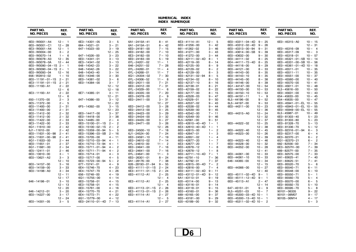## **NUMERICAL INDEXINDEX NUMERIQUE**

| PART NO.                | REF.      | PART NO.                       | REF.                    | PART NO.                       | REF.      | PART NO.           | REF.        | PART NO.                       | REF.      | PART NO.                | REF.      |
|-------------------------|-----------|--------------------------------|-------------------------|--------------------------------|-----------|--------------------|-------------|--------------------------------|-----------|-------------------------|-----------|
| <b>NO. PIECES</b>       | NO.       | <b>NO. PIECES</b>              | NO.                     | <b>NO. PIECES</b>              | NO.       | <b>NO. PIECES</b>  | NO.         | <b>NO. PIECES</b>              | NO.       | <b>NO. PIECES</b>       | NO.       |
|                         |           |                                |                         |                                |           |                    |             |                                |           |                         |           |
| 6E0-W0001-A4            | $12 - 1$  | $6E3 - 14301 - 05$             | $3 - 5$                 | $6A1 - 2415A - 41$             | $8 - 41$  | 6E3-41114-A1       | $12 - 5$    | $6E0 - 43311 - 04 - 4D$ 9 - 25 |           | 6E0-45315-A0            | $10 - 15$ |
| 6E0-W0001-C1            | $12 - 28$ | $664 - 14321 - 01$             | $3 - 21$                | $6A1 - 2415A - 51$             | $8 - 42$  | 6E0-41256-00       | $3 - 42$    | 6E0-43312-02-4D                | $9 - 26$  |                         | $12 - 31$ |
| 6E3-W0001-A4            | $12 - 1$  | $647 - 14323 - 00$             | $3 - 19$                | 6E0-24181-00                   | $7 - 15$  | $661 - 41262 - 02$ | $3 - 46$    | $6E0 - 43313 - 00 - 94$ 9 - 31 |           | 6E0-45316-09            | $10 - 4$  |
| 6E0-W0004-00            | $3 - 2$   |                                | $12 - 25$               | 6E0-24182-00                   | $7 - 10$  | 6E0-41271-00       | $3 - 43$    | 6E0-43614-00-5B                | $9 - 39$  | 6E0-45317-09            | $10 - 3$  |
| 6E0-W0070-14            | $1 - 6$   | $647 - 14326 - 00$             | $3 - 23$                | 6E3-24182-00                   | $7 - 10$  | 6E0-41272-00       | $3 - 44$    | 6E0-43632-00                   | $9 - 30$  | 6E0-45318-01            | $10 - 57$ |
| 6E0-W0078-A3            | $12 - 35$ | 6E0-14341-01                   | $3 - 13$                | 6E0-24183-00                   | $5 - 19$  | 6E0-42111-02-4D    | $8 - 1$     | 6E0-44111-02                   | $8 - 25$  | $6E0 - 45321 - 01 - 5B$ | $10 - 14$ |
| 6E0-W0078-0A            | $12 - 44$ | 6E3-14341-02                   | $3 - 13$                | 6YL-24201-02                   | $11 - 1$  | 6E0-42119-00       | $8 - 14$    | 6E4-44111-72-4D                | $8 - 25$  | 6E0-45331-00-5B         | $10 - 56$ |
| 6E0-W0090-04-1S 2- 1    |           | $648 - 14342 - 23$             | $3 - 22$                | $646 - 24251 - 02$             | $7 - 28$  | 6E0-42125-00       | $8 - 9$     | 6E0-44116-00                   | $8 - 29$  | $6E0 - 45361 - 01 - 4D$ | $10 - 18$ |
| 6E3-W0090-04-1S 2- 1    |           | $648 - 14342 - 26$             | $3 - 22$                | $6YL - 24260 - 01$             | $11 - 4$  | 6E0-42129-02       | $8 - 2$     | 6E0-44121-00                   | $8 - 33$  | $6E0 - 45511 - 01$      | $10 - 35$ |
| 6E0-W0093-04            | $12 - 16$ | $648 - 14343 - 40$             | $3 - 14$                | $6YL - 24268 - 01$             | $11 - 7$  | 6E4-42129-00       | $8 -$<br>-3 | 6E0-44143-00                   | $8 - 35$  | $6E0 - 45511 - 11$      | $10 - 35$ |
| 656-W2810-02            | $1 - 10$  | 6E0-14346-00                   | $3 - 30$                | $6G1 - 24304 - 02$             | $7 - 30$  | 6E0-42131-02-94    | $8 - 5$     | 6E0-44143-10                   | $8 - 35$  | $6E0 - 45551 - 00$      | $10 - 37$ |
| $6E0 - 11191 - 01 - 1S$ | $2 - 21$  | 6E0-14381-02                   | 6<br>$3 -$              | 6YL-24306-52                   | $11 - 8$  | 6E0-42134-02       | $8 - 10$    | 6E0-44145-00                   | $8 - 38$  | 6E0-45560-00            | $10 - 40$ |
| 6E3-11191-01-1S         | $2 - 21$  | 6E0-14384-00                   | $3 - 7$                 | 6E0-24311-00                   | $7 - 21$  | 6E0-42137-10       | $8 - 16$    | 6E0-44146-00                   | $8 - 39$  | 6E0-45570-00            | $10 - 41$ |
| 6E0-11193-A1            | $2 - 22$  |                                | $12 - 12$               | 6E0-24312-00                   | $7 - 31$  | 6E0-42138-01       | $8 - 21$    | $6G1 - 44147 - 00$             | $10 - 54$ | $6E0 - 45611 - 01$      | $10 - 48$ |
|                         | $12 - 6$  |                                | $12 - 18$               | 6YL-24329-00                   | $11 - 6$  | 6E0-42159-02       | $8 - 22$    | 6E0-44150-00                   | $10 - 53$ | $6L5 - 45616 - 00$      | $10 - 50$ |
| 6E3-11193-A1            | $2 - 22$  | 6E7-14385-01                   | $3 - 11$                | 6E0-24335-00                   | $7 - 20$  | 6E0-42177-00       | $8 - 15$    | 6E0-44150-10                   | $10 - 53$ | $6E0 - 45631 - 00$      | $10 - 43$ |
|                         | $12 - 6$  |                                | $12 - 21$               | 6E0-24378-00                   | $2 - 9$   | 6E0-42528-03       | $9 - 47$    | 6E0-44191-11                   | $1 - 9$   | $654 - 45633 - 00$      | $10 - 45$ |
| $650 - 11370 - 00$      | $2 - 3$   | $647 - 14386 - 00$             | $3 - 12$                | 6E0-24411-00                   | $3 - 31$  | $6L5 - 42529 - 01$ | $9 - 50$    | $6L5 - 44196 - 00$             | $9 - 52$  | $654 - 45635 - 00$      | $10 - 47$ |
| 6E5-11372-00            | $2 - 5$   |                                | $12 - 22$               |                                | $12 - 27$ | 6E0-42537-02       | $9 - 43$    | $6L5 - 44197 - 00$             | $9 - 53$  | 6E0-45941-01-EL 10- 55  |           |
| 6E0-11400-00            | $2 - 31$  | 6F5-14392-00                   | $3 - 15$                | 6E0-24412-00                   | $3 - 28$  | 6E0-42538-02       | $9 - 44$    | 6E0-44311-00                   | $10 - 23$ | 6E0-45943-01-EL         | $10 - 55$ |
| 6E3-11400-00            | $2 - 31$  |                                | $12 - 23$               | 6E0-24413-00                   | $3 - 25$  | 6E0-42539-00       | $9 - 45$    |                                | $12 - 36$ | 6E0-45949-00-EL         | $10 - 55$ |
| 6E0-11412-00            | $2 - 32$  | 6E0-14417-00                   | $3 - 37$                | 6E0-24423-00                   | $3 - 29$  | 6E0-42542-00       | $7 - 11$    | 6E0-44315-A0                   | $10 - 24$ | $6L5 - 45987 - 01$      | $10 - 49$ |
| 6E3-11412-00            | $2 - 32$  | 6E0-14418-00                   | $3 - 38$                | 6E0-24434-00                   | $3 - 32$  | 6E0-42549-00       | $9 - 46$    |                                | $12 - 32$ | 6E0-81303-40            | $5 - 23$  |
| 6E0-11422-00            | $2 - 33$  | $624 - 14485 - 00$             | $2 - 4$                 | 6E0-24435-00                   | $3 - 27$  | $6L5 - 42561 - 00$ | $9 - 51$    |                                | $12 - 37$ | 6E0-81303-80            | $5 - 23$  |
| 6E3-11422-00            | $2 - 33$  | $6E0 - 15100 - 01 - 1S$        | $2 - 2$                 | 6E0-24471-00                   | $3 - 26$  | 6E0-42610-40-4D    | $1 - 1$     | 6E0-44322-02                   | $10 - 25$ | 6E0-81328-70            | $5 - 13$  |
| $6G1 - 11610 - 00$      | $2 - 42$  | 6E3-15100-02-1S                | $\overline{2}$<br>$2 -$ |                                | $12 - 26$ | 6E3-42610-40-4D    | $1 - 1$     |                                | $12 - 38$ | 6E0-81336-70            | $5 - 12$  |
| $6J1 - 11610 - 00$      | $2 - 42$  | 6E0-15359-00-94                | $5 -$<br>5              | 6E0-24500-10                   | $7 - 18$  | 6E0-42615-00       | $1 - 2$     | 6E0-44322-40                   | $12 - 45$ | 6E0-82316-01-94         | $6 - 3$   |
| 6E0-11631-00-98         | $2 - 41$  | 6E0-15396-03-5B                | $2 - 16$                | $6J1 - 24524 - 00$             | $7 - 24$  | 6E0-42647-01       | $1 - 3$     | 6E0-44323-00                   | $10 - 26$ | 6E0-82317-00            | $6 - 4$   |
| 6E3-11631-00-98         | $2 - 41$  | 6E0-15705-00                   | $4 - 11$                | $6E0 - 24591 - 10$             | $7 - 19$  | 6E0-42651-02       | $1 - 4$     |                                | $12 - 39$ | 6E3-82370-21            | $6 - 2$   |
| $6G1 - 11633 - 00$      | $2 - 44$  | 6E0-15710-03-94                | $4 - 1$                 | 6E0-24610-02                   | $7 - 14$  | 6E0-42677-20       | $1 - 7$     | 6E0-44323-40                   | $12 - 46$ | 6G1-82370-21            | $6 - 2$   |
| $6E0 - 11651 - 01$      | $2 - 37$  | 6E4-15710-73-94                | $4 - 1$                 | $6YL - 24610 - 00$             | $11 - 2$  | 6E3-42677-20       | $1 - 7$     | 6E0-44328-00                   | $10 - 32$ | $682 - 82556 - 00$      | $7 - 34$  |
| $6G1 - 11681 - 00$      | $2 - 34$  | 6E0-15711-01-94                | $\overline{2}$<br>$4-$  | $6E0 - 24641 - 00$             | $7 - 16$  | 6E0-42678-12       | $1 - 8$     | 6E0-44352-00                   | $10 - 28$ | 6E3-8257H-00            | $7 - 39$  |
| $6E5 - 12411 - 01$      | $2 - 46$  | $6E4 - 15711 - 71 - 94$        | $4-$<br>$\overline{2}$  | 6E3-24641-00                   | $7 - 16$  | 6E3-42678-12       | $1 - 8$     |                                | $12 - 41$ | 689-8257Y-00            | $7 - 35$  |
| 6E0-13610-00            | $3 - 1$   | 6E0-15714-01                   | 3<br>$4-$               | $6YL - 24641 - 00$             | $11 - 3$  | 6E0-42711-10-4D    | $7 - 1$     | 6E0-44361-00                   | $10 - 33$ | 6E0-82575-00            | $7 - 33$  |
| 6E0-13621-A2            | $3 - 3$   | 6E0-15717-00                   | 5<br>$4-$               | 6E0-26301-01                   | $8 - 24$  | $664 - 42791 - 10$ | $7 - 36$    | $6E0 - 44361 - 10$             | $10 - 33$ | $6A1 - 83625 - 41$      | $7 - 40$  |
|                         | $12 - 10$ | 6E0-15723-00-94                | $\overline{2}$<br>$5 -$ | $6A1 - 28176 - 00$             | $7 - 38$  | $6A1 - 42792 - 01$ | $7 - 37$    | $646 - 44365 - 00$             | $10 - 34$ | $6A1 - 83625 - 51$      | $7 - 41$  |
| 6E0-14157-00            | $3 - 16$  | $677 - 15741 - 01$             | 9<br>$4-$               | $626 - 28193 - 01 - 94$        | $9 - 55$  | 6E0-42815-00-4D    | $7 - 2$     |                                | $12 - 15$ | 6E0-85520-70            | $5 - 6$   |
| 6E0-14159-00            | $3 - 33$  | 6E4-15746-70                   | $4 - 23$                | $6E0 - 41111 - 01 - 1S$ 2 - 24 |           | 6E0-42816-00       | $7 - 4$     | 6E0-44366-00                   | $10 - 27$ | 6E0-85540-71            | $6 - 11$  |
| 6E0-14198-A0            | $3 - 34$  | 6E4-15747-70                   | $4 - 26$                | $6E3 - 41111 - 01 - 15$ 2 - 24 |           | 6E0-43111-02-4D    | $9 - 11$    |                                | $12 - 40$ | 6E0-85548-00            | $6 - 10$  |
|                         | $12 - 11$ | $656 - 15748 - 00$             | $4 - 19$                | 6E0-41112-A1                   | $2 - 25$  | 6E0-43112-01-4D    | $9 - 12$    | 6E0-45111-02-4D                | $9 - 1$   | 6E0-85550-71            | $5 - 1$   |
|                         | $12 - 17$ | $6G1 - 15755 - 00$             | $4 - 14$                |                                | $12 - 4$  | 6A1-43113-01       | $9 - 19$    | 6E0-45111-12-4D                | $9 - 1$   | 6E0-85560-70            | $5 - 4$   |
| $646 - 14198 - 01$      | $3 - 10$  | 6E0-15758-01                   | $4 - 15$                | 6E3-41112-A1                   | $2 - 25$  | $620 - 43114 - 00$ | $9 - 13$    | 6E0-45113-A1                   | $2 - 47$  | 6E0-85570-00            | $6 - 5$   |
|                         | $12 - 13$ | 6E3-15758-01                   | $4 - 15$                |                                | $12 - 4$  | 6E0-43116-01       | $9 - 14$    |                                | $12 - 14$ | 6E0-85592-70            | $5 - 10$  |
|                         | $12 - 20$ | 6E0-15761-00                   | $4 - 16$                | $6E0 - 41113 - 01 - 1S$ 2 - 26 |           | 6E0-43118-01       | $9 - 15$    | $647 - 45151 - 01$             | $9 - 9$   | 6E0-85595-70            | $5 - 8$   |
| $646 - 14212 - 01$      | $3 - 20$  | 6E4-15770-70                   | $4 - 21$                | $6E3 - 41113 - 01 - 15$ 2 - 26 |           | 6E0-43160-01       | $9 - 36$    | $6L5 - 45251 - 03$             | $10 - 7$  | 90101-06335             | $9 - 22$  |
| 6E0-14227-00            | $3 - 17$  | 6E4-15772-71                   | $4 - 22$                | 6E0-41114-A1                   | $2 - 27$  | 689-43165-00       | $9 - 37$    | $6E0 - 45300 - 03 - 4D$ 10 - 1 |           | $90101 - 08M07$         | $9 - 17$  |
|                         | $12 - 24$ | $6G1 - 15779 - 00$             | $4 - 12$                |                                | $12 - 5$  | 6E0-43181-00       | $9 - 29$    | $6E0 - 45300 - 13 - 4D$ 10 - 1 |           | 90105-06M14             | $4 - 17$  |
| 6E0-14301-05            | $3 - 5$   | $6E0 - 24110 - 01 - 4D$ 7 - 13 |                         | 6E3-41114-A1                   | $2 - 27$  | 620-43189-00       | $9 - 32$    | $6E0 - 45311 - 02 - 4D$ 10 - 2 |           |                         | $5 - 3$   |
|                         |           |                                |                         |                                |           |                    |             |                                |           |                         |           |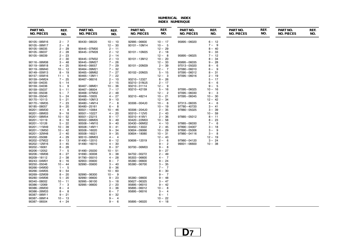## **NUMERICAL INDEXINDEX NUMERIQUE**

| PART NO.          | REF.      | PART NO.          | REF.      | PART NO.          | REF.      | PART NO.          | REF.       | PART NO.          | REF. | PART NO.          | REF. |
|-------------------|-----------|-------------------|-----------|-------------------|-----------|-------------------|------------|-------------------|------|-------------------|------|
| <b>NO. PIECES</b> | NO.       | <b>NO. PIECES</b> | NO.       | <b>NO. PIECES</b> | NO.       | <b>NO. PIECES</b> | NO.        | <b>NO. PIECES</b> | NO.  | <b>NO. PIECES</b> | NO.  |
| 90105-06M16       | $2 - 7$   | 90430-08020       | $10 - 10$ | 92995-06600       | $10 - 17$ | 95895-06020       | $6 - 12$   |                   |      |                   |      |
| 90105-06M17       | $2 - 8$   |                   | $12 - 30$ | 93101-10M14       | $10 - 5$  |                   | $7 - 9$    |                   |      |                   |      |
| 90105-06035       | $2 - 29$  | 90445-07M00       | $2 - 11$  |                   | $12 - 29$ |                   | $8 - 40$   |                   |      |                   |      |
| 90105-06037       | $2 - 28$  | 90445-07M28       | $2 - 12$  | 93101-10M25       | $2 - 18$  |                   | $9 - 33$   |                   |      |                   |      |
| 90105-06039       | $2 - 23$  |                   | $2 - 14$  |                   | $12 - 8$  | 95895-06025       | $7 - 12$   |                   |      |                   |      |
|                   | $2 - 30$  | 90445-07M32       | $2 - 13$  | 93101-13M12       | $10 - 20$ |                   | $8 - 34$   |                   |      |                   |      |
| 90116-06M08       | $3 - 48$  | 90445-09M27       | $7 - 26$  |                   | $12 - 33$ | 95895-06035       | $9 - 28$   |                   |      |                   |      |
| 90119-06M18       | $4 - 25$  | 90445-09057       | $7 - 29$  | 93101-20M29       | $2 - 39$  | 97013-05020       | 6<br>$8-$  |                   |      |                   |      |
| 90119-06M40       | $10 - 12$ | 90464-09M21       | $7 - 32$  |                   | $12 - 7$  | 97080-06010       | $6 - 9$    |                   |      |                   |      |
| 90149-05M13       | $8 - 19$  | 90465-08M62       | $7 - 27$  | 93102-20M25       | $5 - 15$  | 97095-06012       | $8 - 31$   |                   |      |                   |      |
| 90157-05M16       | $11 - 5$  | 90465-13M11       | $7 - 22$  |                   | $12 - 3$  | 97095-06016       | $2 - 19$   |                   |      |                   |      |
| 90159-04M24       | $7 - 25$  | 90467-06016       | $2 - 10$  | 93210-12327       | $8 - 26$  |                   | $5 - 17$   |                   |      |                   |      |
| 90159-04035       | $5 - 14$  |                   | $2 - 15$  | 93210-31MJ5       | $2 - 17$  |                   | $6 -$<br>6 |                   |      |                   |      |
| 90159-04036       | $5 - 9$   | 90467-08M01       | $10 - 36$ | 93210-31114       | $12 - 9$  |                   | $9 -$<br>5 |                   |      |                   |      |
| 90159-05037       | $5 - 11$  | 90467-08004       | $7 - 17$  | 93210-42159       | $5 - 16$  | 97095-06025       | $10 - 16$  |                   |      |                   |      |
| 90159-05038       | $5 - 7$   | 90468-07M02       | $2 - 48$  |                   | $12 - 2$  | 97095-06030       | $9 - 3$    |                   |      |                   |      |
| 90159-05040       | $5 - 24$  | 90468-10005       | $4 - 27$  | 93210-48214       | $10 - 21$ | 97095-06045       | $10 - 30$  |                   |      |                   |      |
| 90170-10113       | $5 - 21$  | 90480-10M13       | $9 - 10$  |                   | $12 - 34$ |                   | $12 - 42$  |                   |      |                   |      |
| 90170-16M35       | $7 - 23$  | 90480-14M14       | $7 - 8$   | 93306-004U0       | $10 - 6$  | 97313-06035       | $4 - 6$    |                   |      |                   |      |
| 90185-08057       | $9 - 20$  | 90480-25161       | $6 - 8$   |                   | $10 - 19$ | 97780-40720       | $3 - 41$   |                   |      |                   |      |
| 90201-06M30       | $4 - 8$   | $90501 - 10064$   | $10 - 46$ | 93306-204U0       | $2 - 35$  | 97880-05025       | $3 - 39$   |                   |      |                   |      |
| $90201 - 08M03$   | $9 - 18$  | 90501-10227       | $4 - 20$  | 93310-112V0       | $2 - 43$  |                   | $10 - 59$  |                   |      |                   |      |
| 90201-08M54       | $10 - 52$ | $90501 - 23215$   | $8 - 17$  | 93310-418V1       | $2 - 36$  | 97885-05012       | $8 - 11$   |                   |      |                   |      |
| $90201 - 10119$   | $8 - 18$  | 90502-08M05       | $9 - 49$  | 93420-22M03       | $10 - 58$ |                   | $8 - 23$   |                   |      |                   |      |
| $90201 - 10126$   | $5 - 22$  | 90508-14M10       | $9 - 40$  | 93430-06M02       | $4 - 10$  | 97885-06030       | $7 - 6$    |                   |      |                   |      |
| $90201 - 11M49$   | $10 - 39$ | 90508-14M11       | $9 - 41$  | 93450-13022       | $2 - 45$  | 97890-04007       | $3 - 18$   |                   |      |                   |      |
| $90201 - 13M50$   | $10 - 42$ | 90508-16020       | $9 - 34$  | 93604-09066       | $10 - 29$ | 97890-05006       | $3 -$<br>9 |                   |      |                   |      |
| $90201 - 32M48$   | $2 - 40$  | 90508-16021       | $9 - 35$  | 93604-18080       | $10 - 31$ | 97980-04116       | $3 - 8$    |                   |      |                   |      |
| $90202 - 05088$   | $4 - 29$  | 90510-08M03       | $4 - 4$   |                   | $12 - 43$ |                   | $12 - 19$  |                   |      |                   |      |
| 90202-07M22       | $8 - 13$  | 91490-12010       | $8 - 12$  | 93606-12019       | $2 - 6$   | 97980-04120       | $3 - 24$   |                   |      |                   |      |
| 90202-12M16       | $3 - 45$  | 91490-16010       | $4 - 30$  |                   | $9 - 2$   | $99001 - 06600$   | $10 - 38$  |                   |      |                   |      |
| $90202 - 16061$   | $8 - 28$  |                   | $8 - 37$  | 93700-06M03       | $9 - 8$   |                   |            |                   |      |                   |      |
| 90206-12052       | $7 - 5$   | 91490-25030       | $10 - 51$ |                   | $9 - 27$  |                   |            |                   |      |                   |      |
| 90206-16M06       | $8 - 27$  | 91690-30008       | $9 - 38$  | 94702-00272       | $2 - 49$  |                   |            |                   |      |                   |      |
| 90209-18112       | $2 - 38$  | 91790-05010       | $4 - 28$  | 95303-06600       | $4 - 7$   |                   |            |                   |      |                   |      |
| 90243-04M01       | $9 - 16$  | 92903-05600       | $8 - 7$   | 95380-06600       | $9 - 24$  |                   |            |                   |      |                   |      |
| 90250-05046       | $10 - 44$ | 92990-05600       | $3 - 40$  | 95380-06700       | $3 - 35$  |                   |            |                   |      |                   |      |
| 90266-04M00       | $1 - 5$   |                   | $8 - 36$  |                   | $7 - 7$   |                   |            |                   |      |                   |      |
| 90266-04M05       | $9 - 54$  |                   | $10 - 60$ |                   | $8 - 30$  |                   |            |                   |      |                   |      |
| 90269-02M09       | $8 - 20$  | 92990-06300       | $10 - 9$  |                   | $9 - 7$   |                   |            |                   |      |                   |      |
| 90280-04M06       | $5 - 20$  | 92990-06600       | $9 - 23$  | 95380-08600       | $9 - 48$  |                   |            |                   |      |                   |      |
| 90340-08002       | $10 - 11$ | 92995-06100       | $5 - 18$  | 95627-06325       | $3 - 47$  |                   |            |                   |      |                   |      |
| 90386-12069       | $7 - 3$   | 92995-06600       | $2 - 20$  | 95895-06010       | $9 - 42$  |                   |            |                   |      |                   |      |
| 90386-26M30       | $8 - 4$   |                   | $3 - 36$  | 95895-06012       | $10 - 8$  |                   |            |                   |      |                   |      |
| 90386-26M33       | $8 - 8$   |                   | $6 - 7$   | 95895-06016       | $3 - 4$   |                   |            |                   |      |                   |      |
| 90387-06M11       | $9 - 21$  |                   | $8 - 32$  |                   | $6 - 1$   |                   |            |                   |      |                   |      |
| 90387-06M14       | $10 - 13$ |                   | $9 - 4$   |                   | $10 - 22$ |                   |            |                   |      |                   |      |
| 90387-06504       | $4 - 24$  |                   | $9 - 6$   | 95895-06020       | $4 - 18$  |                   |            |                   |      |                   |      |
|                   |           |                   |           |                   |           |                   |            |                   |      |                   |      |